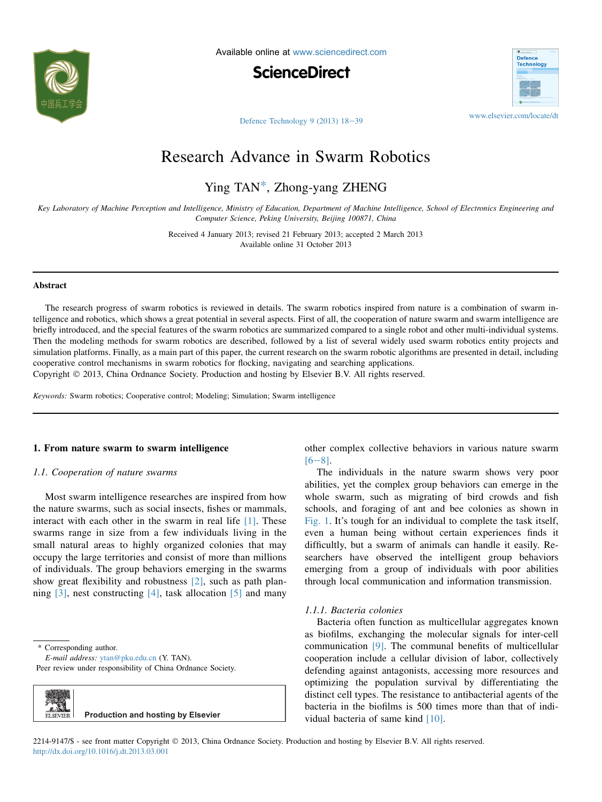

Available online at [www.sciencedirect.com](www.sciencedirect.com/science/journal/22149147)





[Defence Technology 9 \(2013\) 18](http://dx.doi.org/10.1016/j.dt.2013.03.001)-[39](http://dx.doi.org/10.1016/j.dt.2013.03.001) [www.elsevier.com/locate/dt](http://www.elsevier.com/locate/dt)

# Research Advance in Swarm Robotics

Ying TAN\*, Zhong-yang ZHENG

Key Laboratory of Machine Perception and Intelligence, Ministry of Education, Department of Machine Intelligence, School of Electronics Engineering and Computer Science, Peking University, Beijing 100871, China

> Received 4 January 2013; revised 21 February 2013; accepted 2 March 2013 Available online 31 October 2013

#### Abstract

The research progress of swarm robotics is reviewed in details. The swarm robotics inspired from nature is a combination of swarm intelligence and robotics, which shows a great potential in several aspects. First of all, the cooperation of nature swarm and swarm intelligence are briefly introduced, and the special features of the swarm robotics are summarized compared to a single robot and other multi-individual systems. Then the modeling methods for swarm robotics are described, followed by a list of several widely used swarm robotics entity projects and simulation platforms. Finally, as a main part of this paper, the current research on the swarm robotic algorithms are presented in detail, including cooperative control mechanisms in swarm robotics for flocking, navigating and searching applications.

Copyright 2013, China Ordnance Society. Production and hosting by Elsevier B.V. All rights reserved.

Keywords: Swarm robotics; Cooperative control; Modeling; Simulation; Swarm intelligence

# 1. From nature swarm to swarm intelligence

#### 1.1. Cooperation of nature swarms

Most swarm intelligence researches are inspired from how the nature swarms, such as social insects, fishes or mammals, interact with each other in the swarm in real life [\[1\]](#page-17-0). These swarms range in size from a few individuals living in the small natural areas to highly organized colonies that may occupy the large territories and consist of more than millions of individuals. The group behaviors emerging in the swarms show great flexibility and robustness [\[2\]](#page-17-0), such as path planning  $\lceil 3 \rceil$ , nest constructing  $\lceil 4 \rceil$ , task allocation  $\lceil 5 \rceil$  and many

Peer review under responsibility of China Ordnance Society.

other complex collective behaviors in various nature swarm  $[6-8]$  $[6-8]$  $[6-8]$ .

The individuals in the nature swarm shows very poor abilities, yet the complex group behaviors can emerge in the whole swarm, such as migrating of bird crowds and fish schools, and foraging of ant and bee colonies as shown in [Fig. 1.](#page-1-0) It's tough for an individual to complete the task itself, even a human being without certain experiences finds it difficultly, but a swarm of animals can handle it easily. Researchers have observed the intelligent group behaviors emerging from a group of individuals with poor abilities through local communication and information transmission.

# 1.1.1. Bacteria colonies

Bacteria often function as multicellular aggregates known as biofilms, exchanging the molecular signals for inter-cell communication [\[9\]](#page-17-0). The communal benefits of multicellular cooperation include a cellular division of labor, collectively defending against antagonists, accessing more resources and optimizing the population survival by differentiating the distinct cell types. The resistance to antibacterial agents of the bacteria in the biofilms is 500 times more than that of individual bacteria of same kind [\[10\].](#page-17-0)

2214-9147/\$ - see front matter Copyright 2013, China Ordnance Society. Production and hosting by Elsevier B.V. All rights reserved. <http://dx.doi.org/10.1016/j.dt.2013.03.001>

<sup>\*</sup> Corresponding author.

E-mail address: [ytan@pku.edu.cn](mailto:ytan@pku.edu.cn) (Y. TAN).

<sup>.</sup> C. M **EL SEVIER Production and hosting by Elsevier**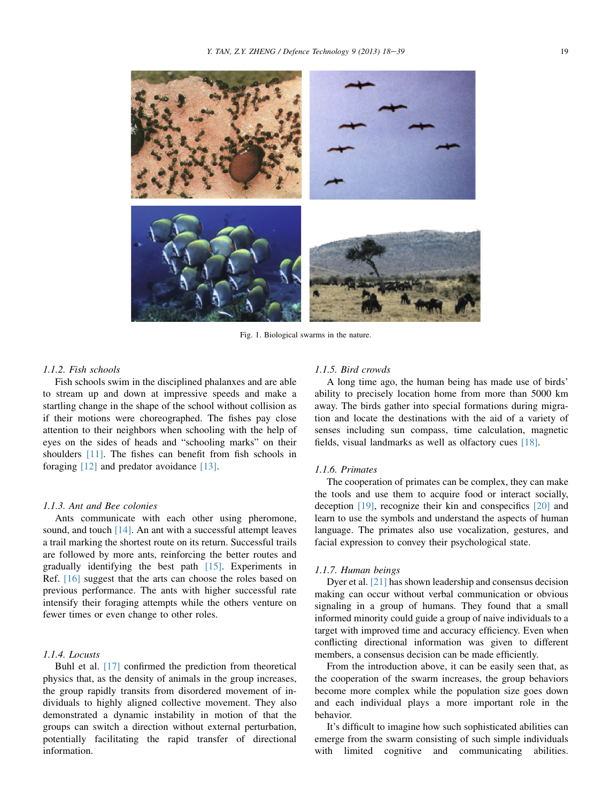<span id="page-1-0"></span>

Fig. 1. Biological swarms in the nature.

# 1.1.2. Fish schools

Fish schools swim in the disciplined phalanxes and are able to stream up and down at impressive speeds and make a startling change in the shape of the school without collision as if their motions were choreographed. The fishes pay close attention to their neighbors when schooling with the help of eyes on the sides of heads and "schooling marks" on their shoulders [\[11\]](#page-17-0). The fishes can benefit from fish schools in foraging [\[12\]](#page-17-0) and predator avoidance [\[13\].](#page-17-0)

# 1.1.3. Ant and Bee colonies

Ants communicate with each other using pheromone, sound, and touch [\[14\].](#page-17-0) An ant with a successful attempt leaves a trail marking the shortest route on its return. Successful trails are followed by more ants, reinforcing the better routes and gradually identifying the best path [\[15\].](#page-17-0) Experiments in Ref. [\[16\]](#page-17-0) suggest that the arts can choose the roles based on previous performance. The ants with higher successful rate intensify their foraging attempts while the others venture on fewer times or even change to other roles.

## 1.1.4. Locusts

Buhl et al. [\[17\]](#page-17-0) confirmed the prediction from theoretical physics that, as the density of animals in the group increases, the group rapidly transits from disordered movement of individuals to highly aligned collective movement. They also demonstrated a dynamic instability in motion of that the groups can switch a direction without external perturbation, potentially facilitating the rapid transfer of directional information.

# 1.1.5. Bird crowds

A long time ago, the human being has made use of birds' ability to precisely location home from more than 5000 km away. The birds gather into special formations during migration and locate the destinations with the aid of a variety of senses including sun compass, time calculation, magnetic fields, visual landmarks as well as olfactory cues [\[18\]](#page-17-0).

# 1.1.6. Primates

The cooperation of primates can be complex, they can make the tools and use them to acquire food or interact socially, deception [\[19\]](#page-17-0), recognize their kin and conspecifics [\[20\]](#page-17-0) and learn to use the symbols and understand the aspects of human language. The primates also use vocalization, gestures, and facial expression to convey their psychological state.

# 1.1.7. Human beings

Dyer et al. [\[21\]](#page-17-0) has shown leadership and consensus decision making can occur without verbal communication or obvious signaling in a group of humans. They found that a small informed minority could guide a group of naive individuals to a target with improved time and accuracy efficiency. Even when conflicting directional information was given to different members, a consensus decision can be made efficiently.

From the introduction above, it can be easily seen that, as the cooperation of the swarm increases, the group behaviors become more complex while the population size goes down and each individual plays a more important role in the behavior.

It's difficult to imagine how such sophisticated abilities can emerge from the swarm consisting of such simple individuals with limited cognitive and communicating abilities.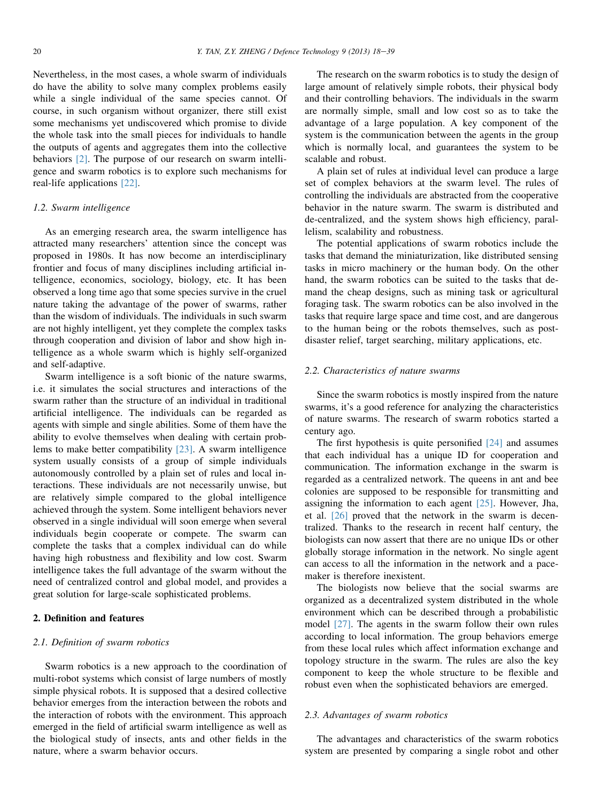Nevertheless, in the most cases, a whole swarm of individuals do have the ability to solve many complex problems easily while a single individual of the same species cannot. Of course, in such organism without organizer, there still exist some mechanisms yet undiscovered which promise to divide the whole task into the small pieces for individuals to handle the outputs of agents and aggregates them into the collective behaviors [\[2\].](#page-17-0) The purpose of our research on swarm intelligence and swarm robotics is to explore such mechanisms for real-life applications [\[22\]](#page-18-0).

# 1.2. Swarm intelligence

As an emerging research area, the swarm intelligence has attracted many researchers' attention since the concept was proposed in 1980s. It has now become an interdisciplinary frontier and focus of many disciplines including artificial intelligence, economics, sociology, biology, etc. It has been observed a long time ago that some species survive in the cruel nature taking the advantage of the power of swarms, rather than the wisdom of individuals. The individuals in such swarm are not highly intelligent, yet they complete the complex tasks through cooperation and division of labor and show high intelligence as a whole swarm which is highly self-organized and self-adaptive.

Swarm intelligence is a soft bionic of the nature swarms, i.e. it simulates the social structures and interactions of the swarm rather than the structure of an individual in traditional artificial intelligence. The individuals can be regarded as agents with simple and single abilities. Some of them have the ability to evolve themselves when dealing with certain problems to make better compatibility [\[23\].](#page-18-0) A swarm intelligence system usually consists of a group of simple individuals autonomously controlled by a plain set of rules and local interactions. These individuals are not necessarily unwise, but are relatively simple compared to the global intelligence achieved through the system. Some intelligent behaviors never observed in a single individual will soon emerge when several individuals begin cooperate or compete. The swarm can complete the tasks that a complex individual can do while having high robustness and flexibility and low cost. Swarm intelligence takes the full advantage of the swarm without the need of centralized control and global model, and provides a great solution for large-scale sophisticated problems.

# 2. Definition and features

## 2.1. Definition of swarm robotics

Swarm robotics is a new approach to the coordination of multi-robot systems which consist of large numbers of mostly simple physical robots. It is supposed that a desired collective behavior emerges from the interaction between the robots and the interaction of robots with the environment. This approach emerged in the field of artificial swarm intelligence as well as the biological study of insects, ants and other fields in the nature, where a swarm behavior occurs.

The research on the swarm robotics is to study the design of large amount of relatively simple robots, their physical body and their controlling behaviors. The individuals in the swarm are normally simple, small and low cost so as to take the advantage of a large population. A key component of the system is the communication between the agents in the group which is normally local, and guarantees the system to be scalable and robust.

A plain set of rules at individual level can produce a large set of complex behaviors at the swarm level. The rules of controlling the individuals are abstracted from the cooperative behavior in the nature swarm. The swarm is distributed and de-centralized, and the system shows high efficiency, parallelism, scalability and robustness.

The potential applications of swarm robotics include the tasks that demand the miniaturization, like distributed sensing tasks in micro machinery or the human body. On the other hand, the swarm robotics can be suited to the tasks that demand the cheap designs, such as mining task or agricultural foraging task. The swarm robotics can be also involved in the tasks that require large space and time cost, and are dangerous to the human being or the robots themselves, such as postdisaster relief, target searching, military applications, etc.

# 2.2. Characteristics of nature swarms

Since the swarm robotics is mostly inspired from the nature swarms, it's a good reference for analyzing the characteristics of nature swarms. The research of swarm robotics started a century ago.

The first hypothesis is quite personified [\[24\]](#page-18-0) and assumes that each individual has a unique ID for cooperation and communication. The information exchange in the swarm is regarded as a centralized network. The queens in ant and bee colonies are supposed to be responsible for transmitting and assigning the information to each agent [\[25\]](#page-18-0). However, Jha, et al. [\[26\]](#page-18-0) proved that the network in the swarm is decentralized. Thanks to the research in recent half century, the biologists can now assert that there are no unique IDs or other globally storage information in the network. No single agent can access to all the information in the network and a pacemaker is therefore inexistent.

The biologists now believe that the social swarms are organized as a decentralized system distributed in the whole environment which can be described through a probabilistic model [\[27\]](#page-18-0). The agents in the swarm follow their own rules according to local information. The group behaviors emerge from these local rules which affect information exchange and topology structure in the swarm. The rules are also the key component to keep the whole structure to be flexible and robust even when the sophisticated behaviors are emerged.

#### 2.3. Advantages of swarm robotics

The advantages and characteristics of the swarm robotics system are presented by comparing a single robot and other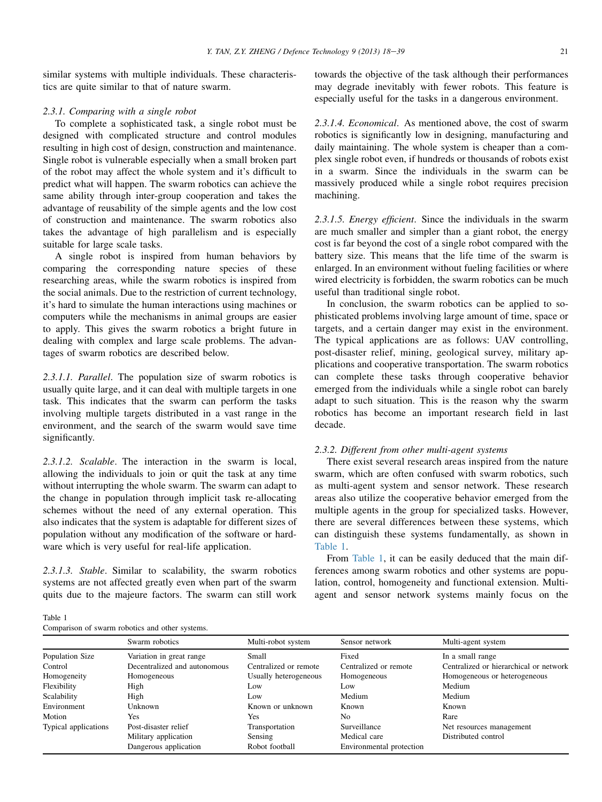<span id="page-3-0"></span>similar systems with multiple individuals. These characteristics are quite similar to that of nature swarm.

## 2.3.1. Comparing with a single robot

To complete a sophisticated task, a single robot must be designed with complicated structure and control modules resulting in high cost of design, construction and maintenance. Single robot is vulnerable especially when a small broken part of the robot may affect the whole system and it's difficult to predict what will happen. The swarm robotics can achieve the same ability through inter-group cooperation and takes the advantage of reusability of the simple agents and the low cost of construction and maintenance. The swarm robotics also takes the advantage of high parallelism and is especially suitable for large scale tasks.

A single robot is inspired from human behaviors by comparing the corresponding nature species of these researching areas, while the swarm robotics is inspired from the social animals. Due to the restriction of current technology, it's hard to simulate the human interactions using machines or computers while the mechanisms in animal groups are easier to apply. This gives the swarm robotics a bright future in dealing with complex and large scale problems. The advantages of swarm robotics are described below.

2.3.1.1. Parallel. The population size of swarm robotics is usually quite large, and it can deal with multiple targets in one task. This indicates that the swarm can perform the tasks involving multiple targets distributed in a vast range in the environment, and the search of the swarm would save time significantly.

2.3.1.2. Scalable. The interaction in the swarm is local, allowing the individuals to join or quit the task at any time without interrupting the whole swarm. The swarm can adapt to the change in population through implicit task re-allocating schemes without the need of any external operation. This also indicates that the system is adaptable for different sizes of population without any modification of the software or hardware which is very useful for real-life application.

2.3.1.3. Stable. Similar to scalability, the swarm robotics systems are not affected greatly even when part of the swarm quits due to the majeure factors. The swarm can still work towards the objective of the task although their performances may degrade inevitably with fewer robots. This feature is especially useful for the tasks in a dangerous environment.

2.3.1.4. Economical. As mentioned above, the cost of swarm robotics is significantly low in designing, manufacturing and daily maintaining. The whole system is cheaper than a complex single robot even, if hundreds or thousands of robots exist in a swarm. Since the individuals in the swarm can be massively produced while a single robot requires precision machining.

2.3.1.5. Energy efficient. Since the individuals in the swarm are much smaller and simpler than a giant robot, the energy cost is far beyond the cost of a single robot compared with the battery size. This means that the life time of the swarm is enlarged. In an environment without fueling facilities or where wired electricity is forbidden, the swarm robotics can be much useful than traditional single robot.

In conclusion, the swarm robotics can be applied to sophisticated problems involving large amount of time, space or targets, and a certain danger may exist in the environment. The typical applications are as follows: UAV controlling, post-disaster relief, mining, geological survey, military applications and cooperative transportation. The swarm robotics can complete these tasks through cooperative behavior emerged from the individuals while a single robot can barely adapt to such situation. This is the reason why the swarm robotics has become an important research field in last decade.

# 2.3.2. Different from other multi-agent systems

There exist several research areas inspired from the nature swarm, which are often confused with swarm robotics, such as multi-agent system and sensor network. These research areas also utilize the cooperative behavior emerged from the multiple agents in the group for specialized tasks. However, there are several differences between these systems, which can distinguish these systems fundamentally, as shown in Table 1.

From Table 1, it can be easily deduced that the main differences among swarm robotics and other systems are population, control, homogeneity and functional extension. Multiagent and sensor network systems mainly focus on the

Table 1 Comparison of swarm robotics and other systems.

|                      | Swarm robotics               | Multi-robot system    | Sensor network           | Multi-agent system                     |
|----------------------|------------------------------|-----------------------|--------------------------|----------------------------------------|
| Population Size      | Variation in great range     | Small                 | Fixed                    | In a small range                       |
| Control              | Decentralized and autonomous | Centralized or remote | Centralized or remote    | Centralized or hierarchical or network |
| Homogeneity          | Homogeneous                  | Usually heterogeneous | Homogeneous              | Homogeneous or heterogeneous           |
| Flexibility          | High                         | Low                   | Low                      | Medium                                 |
| Scalability          | High                         | Low                   | Medium                   | Medium                                 |
| Environment          | Unknown                      | Known or unknown      | Known                    | Known                                  |
| Motion               | Yes.                         | Yes                   | N <sub>0</sub>           | Rare                                   |
| Typical applications | Post-disaster relief         | Transportation        | Surveillance             | Net resources management               |
|                      | Military application         | Sensing               | Medical care             | Distributed control                    |
|                      | Dangerous application        | Robot football        | Environmental protection |                                        |
|                      |                              |                       |                          |                                        |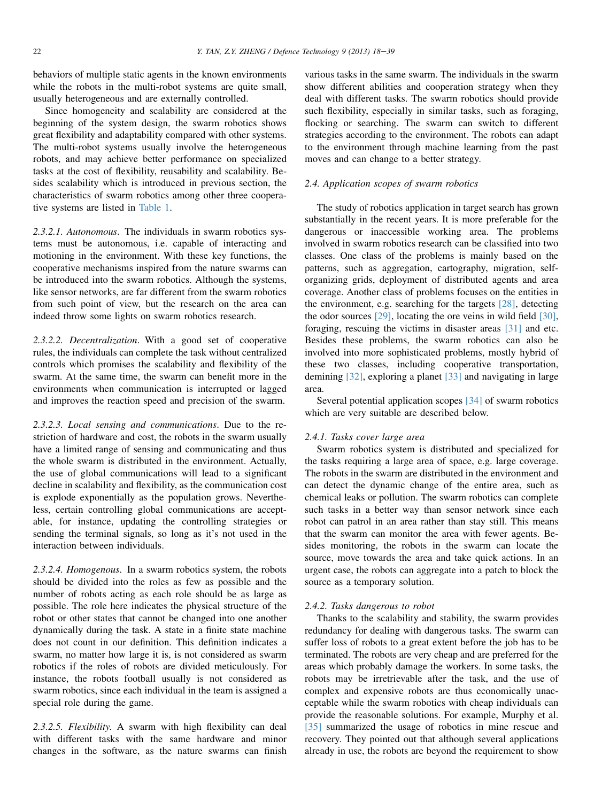behaviors of multiple static agents in the known environments while the robots in the multi-robot systems are quite small, usually heterogeneous and are externally controlled.

Since homogeneity and scalability are considered at the beginning of the system design, the swarm robotics shows great flexibility and adaptability compared with other systems. The multi-robot systems usually involve the heterogeneous robots, and may achieve better performance on specialized tasks at the cost of flexibility, reusability and scalability. Besides scalability which is introduced in previous section, the characteristics of swarm robotics among other three cooperative systems are listed in [Table 1.](#page-3-0)

2.3.2.1. Autonomous. The individuals in swarm robotics systems must be autonomous, i.e. capable of interacting and motioning in the environment. With these key functions, the cooperative mechanisms inspired from the nature swarms can be introduced into the swarm robotics. Although the systems, like sensor networks, are far different from the swarm robotics from such point of view, but the research on the area can indeed throw some lights on swarm robotics research.

2.3.2.2. Decentralization. With a good set of cooperative rules, the individuals can complete the task without centralized controls which promises the scalability and flexibility of the swarm. At the same time, the swarm can benefit more in the environments when communication is interrupted or lagged and improves the reaction speed and precision of the swarm.

2.3.2.3. Local sensing and communications. Due to the restriction of hardware and cost, the robots in the swarm usually have a limited range of sensing and communicating and thus the whole swarm is distributed in the environment. Actually, the use of global communications will lead to a significant decline in scalability and flexibility, as the communication cost is explode exponentially as the population grows. Nevertheless, certain controlling global communications are acceptable, for instance, updating the controlling strategies or sending the terminal signals, so long as it's not used in the interaction between individuals.

2.3.2.4. Homogenous. In a swarm robotics system, the robots should be divided into the roles as few as possible and the number of robots acting as each role should be as large as possible. The role here indicates the physical structure of the robot or other states that cannot be changed into one another dynamically during the task. A state in a finite state machine does not count in our definition. This definition indicates a swarm, no matter how large it is, is not considered as swarm robotics if the roles of robots are divided meticulously. For instance, the robots football usually is not considered as swarm robotics, since each individual in the team is assigned a special role during the game.

2.3.2.5. Flexibility. A swarm with high flexibility can deal with different tasks with the same hardware and minor changes in the software, as the nature swarms can finish various tasks in the same swarm. The individuals in the swarm show different abilities and cooperation strategy when they deal with different tasks. The swarm robotics should provide such flexibility, especially in similar tasks, such as foraging, flocking or searching. The swarm can switch to different strategies according to the environment. The robots can adapt to the environment through machine learning from the past moves and can change to a better strategy.

# 2.4. Application scopes of swarm robotics

The study of robotics application in target search has grown substantially in the recent years. It is more preferable for the dangerous or inaccessible working area. The problems involved in swarm robotics research can be classified into two classes. One class of the problems is mainly based on the patterns, such as aggregation, cartography, migration, selforganizing grids, deployment of distributed agents and area coverage. Another class of problems focuses on the entities in the environment, e.g. searching for the targets [\[28\]](#page-18-0), detecting the odor sources [\[29\]](#page-18-0), locating the ore veins in wild field [\[30\]](#page-18-0), foraging, rescuing the victims in disaster areas [\[31\]](#page-18-0) and etc. Besides these problems, the swarm robotics can also be involved into more sophisticated problems, mostly hybrid of these two classes, including cooperative transportation, demining [\[32\]](#page-18-0), exploring a planet [\[33\]](#page-18-0) and navigating in large area.

Several potential application scopes [\[34\]](#page-18-0) of swarm robotics which are very suitable are described below.

# 2.4.1. Tasks cover large area

Swarm robotics system is distributed and specialized for the tasks requiring a large area of space, e.g. large coverage. The robots in the swarm are distributed in the environment and can detect the dynamic change of the entire area, such as chemical leaks or pollution. The swarm robotics can complete such tasks in a better way than sensor network since each robot can patrol in an area rather than stay still. This means that the swarm can monitor the area with fewer agents. Besides monitoring, the robots in the swarm can locate the source, move towards the area and take quick actions. In an urgent case, the robots can aggregate into a patch to block the source as a temporary solution.

#### 2.4.2. Tasks dangerous to robot

Thanks to the scalability and stability, the swarm provides redundancy for dealing with dangerous tasks. The swarm can suffer loss of robots to a great extent before the job has to be terminated. The robots are very cheap and are preferred for the areas which probably damage the workers. In some tasks, the robots may be irretrievable after the task, and the use of complex and expensive robots are thus economically unacceptable while the swarm robotics with cheap individuals can provide the reasonable solutions. For example, Murphy et al. [\[35\]](#page-18-0) summarized the usage of robotics in mine rescue and recovery. They pointed out that although several applications already in use, the robots are beyond the requirement to show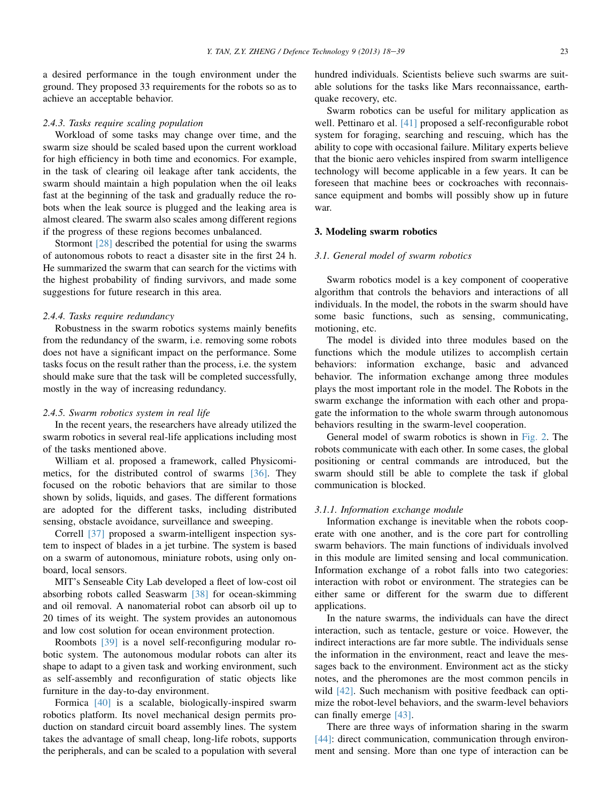a desired performance in the tough environment under the ground. They proposed 33 requirements for the robots so as to achieve an acceptable behavior.

#### 2.4.3. Tasks require scaling population

Workload of some tasks may change over time, and the swarm size should be scaled based upon the current workload for high efficiency in both time and economics. For example, in the task of clearing oil leakage after tank accidents, the swarm should maintain a high population when the oil leaks fast at the beginning of the task and gradually reduce the robots when the leak source is plugged and the leaking area is almost cleared. The swarm also scales among different regions if the progress of these regions becomes unbalanced.

Stormont [\[28\]](#page-18-0) described the potential for using the swarms of autonomous robots to react a disaster site in the first 24 h. He summarized the swarm that can search for the victims with the highest probability of finding survivors, and made some suggestions for future research in this area.

#### 2.4.4. Tasks require redundancy

Robustness in the swarm robotics systems mainly benefits from the redundancy of the swarm, i.e. removing some robots does not have a significant impact on the performance. Some tasks focus on the result rather than the process, i.e. the system should make sure that the task will be completed successfully, mostly in the way of increasing redundancy.

#### 2.4.5. Swarm robotics system in real life

In the recent years, the researchers have already utilized the swarm robotics in several real-life applications including most of the tasks mentioned above.

William et al. proposed a framework, called Physicomimetics, for the distributed control of swarms [\[36\]](#page-18-0). They focused on the robotic behaviors that are similar to those shown by solids, liquids, and gases. The different formations are adopted for the different tasks, including distributed sensing, obstacle avoidance, surveillance and sweeping.

Correll [\[37\]](#page-18-0) proposed a swarm-intelligent inspection system to inspect of blades in a jet turbine. The system is based on a swarm of autonomous, miniature robots, using only onboard, local sensors.

MIT's Senseable City Lab developed a fleet of low-cost oil absorbing robots called Seaswarm [\[38\]](#page-18-0) for ocean-skimming and oil removal. A nanomaterial robot can absorb oil up to 20 times of its weight. The system provides an autonomous and low cost solution for ocean environment protection.

Roombots [\[39\]](#page-18-0) is a novel self-reconfiguring modular robotic system. The autonomous modular robots can alter its shape to adapt to a given task and working environment, such as self-assembly and reconfiguration of static objects like furniture in the day-to-day environment.

Formica [\[40\]](#page-18-0) is a scalable, biologically-inspired swarm robotics platform. Its novel mechanical design permits production on standard circuit board assembly lines. The system takes the advantage of small cheap, long-life robots, supports the peripherals, and can be scaled to a population with several

hundred individuals. Scientists believe such swarms are suitable solutions for the tasks like Mars reconnaissance, earthquake recovery, etc.

Swarm robotics can be useful for military application as well. Pettinaro et al. [\[41\]](#page-18-0) proposed a self-reconfigurable robot system for foraging, searching and rescuing, which has the ability to cope with occasional failure. Military experts believe that the bionic aero vehicles inspired from swarm intelligence technology will become applicable in a few years. It can be foreseen that machine bees or cockroaches with reconnaissance equipment and bombs will possibly show up in future war.

# 3. Modeling swarm robotics

## 3.1. General model of swarm robotics

Swarm robotics model is a key component of cooperative algorithm that controls the behaviors and interactions of all individuals. In the model, the robots in the swarm should have some basic functions, such as sensing, communicating, motioning, etc.

The model is divided into three modules based on the functions which the module utilizes to accomplish certain behaviors: information exchange, basic and advanced behavior. The information exchange among three modules plays the most important role in the model. The Robots in the swarm exchange the information with each other and propagate the information to the whole swarm through autonomous behaviors resulting in the swarm-level cooperation.

General model of swarm robotics is shown in [Fig. 2.](#page-6-0) The robots communicate with each other. In some cases, the global positioning or central commands are introduced, but the swarm should still be able to complete the task if global communication is blocked.

#### 3.1.1. Information exchange module

Information exchange is inevitable when the robots cooperate with one another, and is the core part for controlling swarm behaviors. The main functions of individuals involved in this module are limited sensing and local communication. Information exchange of a robot falls into two categories: interaction with robot or environment. The strategies can be either same or different for the swarm due to different applications.

In the nature swarms, the individuals can have the direct interaction, such as tentacle, gesture or voice. However, the indirect interactions are far more subtle. The individuals sense the information in the environment, react and leave the messages back to the environment. Environment act as the sticky notes, and the pheromones are the most common pencils in wild [\[42\].](#page-18-0) Such mechanism with positive feedback can optimize the robot-level behaviors, and the swarm-level behaviors can finally emerge [\[43\]](#page-18-0).

There are three ways of information sharing in the swarm [\[44\]](#page-18-0): direct communication, communication through environment and sensing. More than one type of interaction can be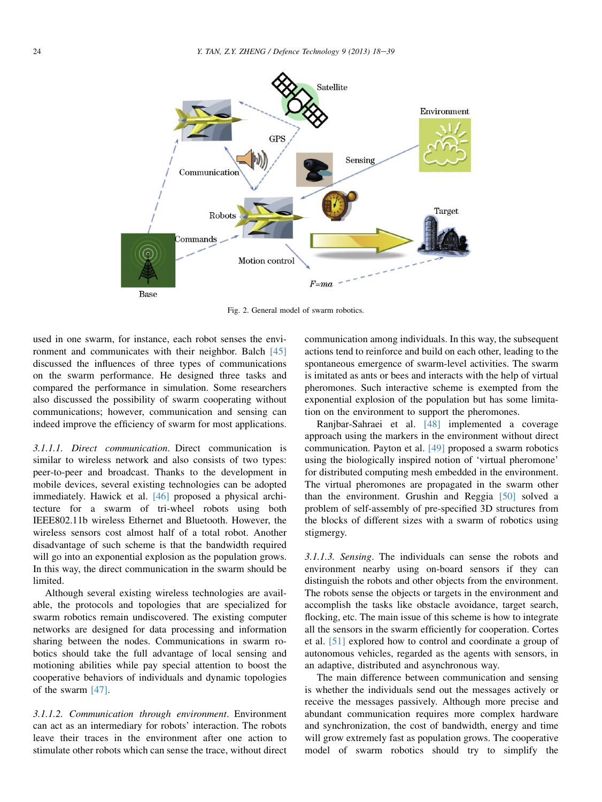<span id="page-6-0"></span>

Fig. 2. General model of swarm robotics.

used in one swarm, for instance, each robot senses the environment and communicates with their neighbor. Balch [\[45\]](#page-18-0) discussed the influences of three types of communications on the swarm performance. He designed three tasks and compared the performance in simulation. Some researchers also discussed the possibility of swarm cooperating without communications; however, communication and sensing can indeed improve the efficiency of swarm for most applications.

3.1.1.1. Direct communication. Direct communication is similar to wireless network and also consists of two types: peer-to-peer and broadcast. Thanks to the development in mobile devices, several existing technologies can be adopted immediately. Hawick et al. [\[46\]](#page-18-0) proposed a physical architecture for a swarm of tri-wheel robots using both IEEE802.11b wireless Ethernet and Bluetooth. However, the wireless sensors cost almost half of a total robot. Another disadvantage of such scheme is that the bandwidth required will go into an exponential explosion as the population grows. In this way, the direct communication in the swarm should be limited.

Although several existing wireless technologies are available, the protocols and topologies that are specialized for swarm robotics remain undiscovered. The existing computer networks are designed for data processing and information sharing between the nodes. Communications in swarm robotics should take the full advantage of local sensing and motioning abilities while pay special attention to boost the cooperative behaviors of individuals and dynamic topologies of the swarm [\[47\].](#page-18-0)

3.1.1.2. Communication through environment. Environment can act as an intermediary for robots' interaction. The robots leave their traces in the environment after one action to stimulate other robots which can sense the trace, without direct communication among individuals. In this way, the subsequent actions tend to reinforce and build on each other, leading to the spontaneous emergence of swarm-level activities. The swarm is imitated as ants or bees and interacts with the help of virtual pheromones. Such interactive scheme is exempted from the exponential explosion of the population but has some limitation on the environment to support the pheromones.

Ranjbar-Sahraei et al. [\[48\]](#page-18-0) implemented a coverage approach using the markers in the environment without direct communication. Payton et al. [\[49\]](#page-18-0) proposed a swarm robotics using the biologically inspired notion of 'virtual pheromone' for distributed computing mesh embedded in the environment. The virtual pheromones are propagated in the swarm other than the environment. Grushin and Reggia [\[50\]](#page-18-0) solved a problem of self-assembly of pre-specified 3D structures from the blocks of different sizes with a swarm of robotics using stigmergy.

3.1.1.3. Sensing. The individuals can sense the robots and environment nearby using on-board sensors if they can distinguish the robots and other objects from the environment. The robots sense the objects or targets in the environment and accomplish the tasks like obstacle avoidance, target search, flocking, etc. The main issue of this scheme is how to integrate all the sensors in the swarm efficiently for cooperation. Cortes et al. [\[51\]](#page-18-0) explored how to control and coordinate a group of autonomous vehicles, regarded as the agents with sensors, in an adaptive, distributed and asynchronous way.

The main difference between communication and sensing is whether the individuals send out the messages actively or receive the messages passively. Although more precise and abundant communication requires more complex hardware and synchronization, the cost of bandwidth, energy and time will grow extremely fast as population grows. The cooperative model of swarm robotics should try to simplify the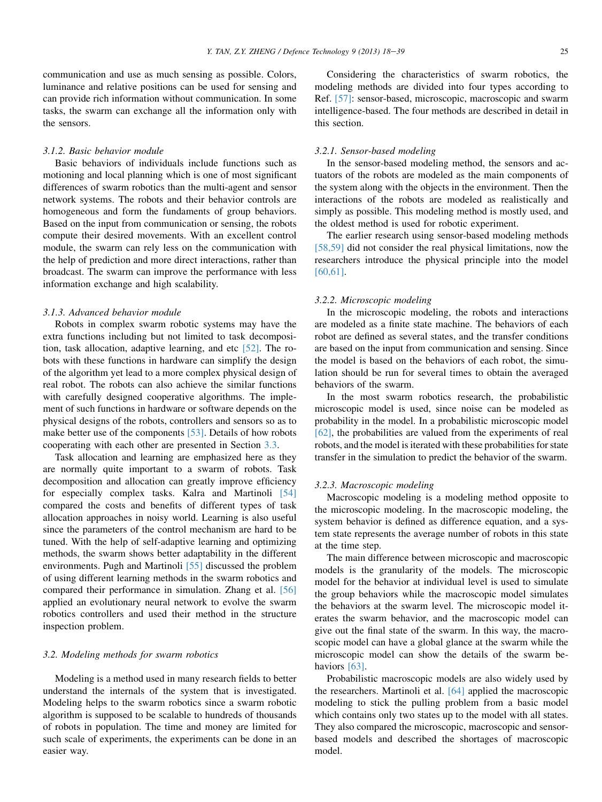communication and use as much sensing as possible. Colors, luminance and relative positions can be used for sensing and can provide rich information without communication. In some tasks, the swarm can exchange all the information only with the sensors.

#### 3.1.2. Basic behavior module

Basic behaviors of individuals include functions such as motioning and local planning which is one of most significant differences of swarm robotics than the multi-agent and sensor network systems. The robots and their behavior controls are homogeneous and form the fundaments of group behaviors. Based on the input from communication or sensing, the robots compute their desired movements. With an excellent control module, the swarm can rely less on the communication with the help of prediction and more direct interactions, rather than broadcast. The swarm can improve the performance with less information exchange and high scalability.

## 3.1.3. Advanced behavior module

Robots in complex swarm robotic systems may have the extra functions including but not limited to task decomposition, task allocation, adaptive learning, and etc [\[52\]](#page-18-0). The robots with these functions in hardware can simplify the design of the algorithm yet lead to a more complex physical design of real robot. The robots can also achieve the similar functions with carefully designed cooperative algorithms. The implement of such functions in hardware or software depends on the physical designs of the robots, controllers and sensors so as to make better use of the components [\[53\].](#page-18-0) Details of how robots cooperating with each other are presented in Section [3.3](#page-8-0).

Task allocation and learning are emphasized here as they are normally quite important to a swarm of robots. Task decomposition and allocation can greatly improve efficiency for especially complex tasks. Kalra and Martinoli [\[54\]](#page-18-0) compared the costs and benefits of different types of task allocation approaches in noisy world. Learning is also useful since the parameters of the control mechanism are hard to be tuned. With the help of self-adaptive learning and optimizing methods, the swarm shows better adaptability in the different environments. Pugh and Martinoli [\[55\]](#page-18-0) discussed the problem of using different learning methods in the swarm robotics and compared their performance in simulation. Zhang et al. [\[56\]](#page-18-0) applied an evolutionary neural network to evolve the swarm robotics controllers and used their method in the structure inspection problem.

# 3.2. Modeling methods for swarm robotics

Modeling is a method used in many research fields to better understand the internals of the system that is investigated. Modeling helps to the swarm robotics since a swarm robotic algorithm is supposed to be scalable to hundreds of thousands of robots in population. The time and money are limited for such scale of experiments, the experiments can be done in an easier way.

Considering the characteristics of swarm robotics, the modeling methods are divided into four types according to Ref. [\[57\]](#page-18-0): sensor-based, microscopic, macroscopic and swarm intelligence-based. The four methods are described in detail in this section.

#### 3.2.1. Sensor-based modeling

In the sensor-based modeling method, the sensors and actuators of the robots are modeled as the main components of the system along with the objects in the environment. Then the interactions of the robots are modeled as realistically and simply as possible. This modeling method is mostly used, and the oldest method is used for robotic experiment.

The earlier research using sensor-based modeling methods [\[58,59\]](#page-18-0) did not consider the real physical limitations, now the researchers introduce the physical principle into the model [\[60,61\].](#page-18-0)

# 3.2.2. Microscopic modeling

In the microscopic modeling, the robots and interactions are modeled as a finite state machine. The behaviors of each robot are defined as several states, and the transfer conditions are based on the input from communication and sensing. Since the model is based on the behaviors of each robot, the simulation should be run for several times to obtain the averaged behaviors of the swarm.

In the most swarm robotics research, the probabilistic microscopic model is used, since noise can be modeled as probability in the model. In a probabilistic microscopic model [\[62\],](#page-18-0) the probabilities are valued from the experiments of real robots, and the model is iterated with these probabilities for state transfer in the simulation to predict the behavior of the swarm.

#### 3.2.3. Macroscopic modeling

Macroscopic modeling is a modeling method opposite to the microscopic modeling. In the macroscopic modeling, the system behavior is defined as difference equation, and a system state represents the average number of robots in this state at the time step.

The main difference between microscopic and macroscopic models is the granularity of the models. The microscopic model for the behavior at individual level is used to simulate the group behaviors while the macroscopic model simulates the behaviors at the swarm level. The microscopic model iterates the swarm behavior, and the macroscopic model can give out the final state of the swarm. In this way, the macroscopic model can have a global glance at the swarm while the microscopic model can show the details of the swarm be-haviors [\[63\].](#page-18-0)

Probabilistic macroscopic models are also widely used by the researchers. Martinoli et al. [\[64\]](#page-18-0) applied the macroscopic modeling to stick the pulling problem from a basic model which contains only two states up to the model with all states. They also compared the microscopic, macroscopic and sensorbased models and described the shortages of macroscopic model.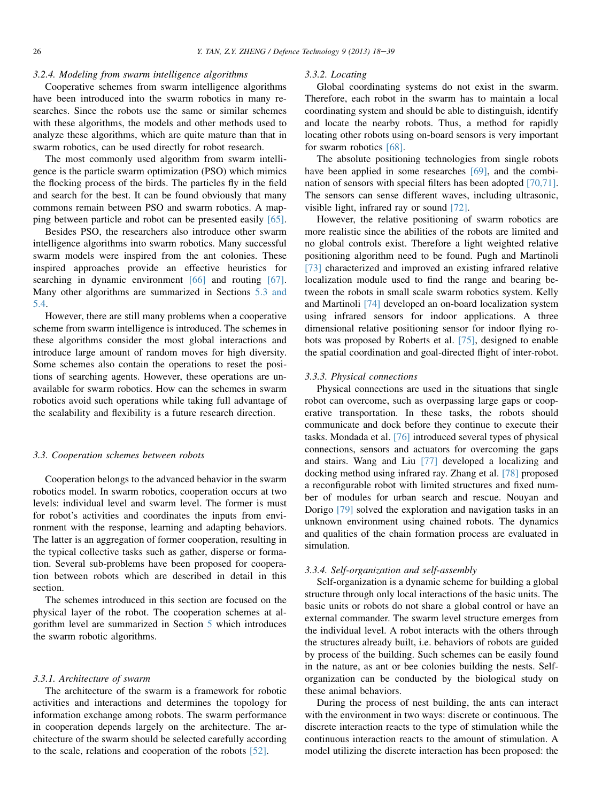# <span id="page-8-0"></span>3.2.4. Modeling from swarm intelligence algorithms

Cooperative schemes from swarm intelligence algorithms have been introduced into the swarm robotics in many researches. Since the robots use the same or similar schemes with these algorithms, the models and other methods used to analyze these algorithms, which are quite mature than that in swarm robotics, can be used directly for robot research.

The most commonly used algorithm from swarm intelligence is the particle swarm optimization (PSO) which mimics the flocking process of the birds. The particles fly in the field and search for the best. It can be found obviously that many commons remain between PSO and swarm robotics. A mapping between particle and robot can be presented easily [\[65\]](#page-18-0).

Besides PSO, the researchers also introduce other swarm intelligence algorithms into swarm robotics. Many successful swarm models were inspired from the ant colonies. These inspired approaches provide an effective heuristics for searching in dynamic environment [\[66\]](#page-18-0) and routing [\[67\]](#page-18-0). Many other algorithms are summarized in Sections [5.3 and](#page-12-0) [5.4](#page-12-0).

However, there are still many problems when a cooperative scheme from swarm intelligence is introduced. The schemes in these algorithms consider the most global interactions and introduce large amount of random moves for high diversity. Some schemes also contain the operations to reset the positions of searching agents. However, these operations are unavailable for swarm robotics. How can the schemes in swarm robotics avoid such operations while taking full advantage of the scalability and flexibility is a future research direction.

#### 3.3. Cooperation schemes between robots

Cooperation belongs to the advanced behavior in the swarm robotics model. In swarm robotics, cooperation occurs at two levels: individual level and swarm level. The former is must for robot's activities and coordinates the inputs from environment with the response, learning and adapting behaviors. The latter is an aggregation of former cooperation, resulting in the typical collective tasks such as gather, disperse or formation. Several sub-problems have been proposed for cooperation between robots which are described in detail in this section.

The schemes introduced in this section are focused on the physical layer of the robot. The cooperation schemes at algorithm level are summarized in Section [5](#page-11-0) which introduces the swarm robotic algorithms.

# 3.3.1. Architecture of swarm

The architecture of the swarm is a framework for robotic activities and interactions and determines the topology for information exchange among robots. The swarm performance in cooperation depends largely on the architecture. The architecture of the swarm should be selected carefully according to the scale, relations and cooperation of the robots [\[52\].](#page-18-0)

# 3.3.2. Locating

Global coordinating systems do not exist in the swarm. Therefore, each robot in the swarm has to maintain a local coordinating system and should be able to distinguish, identify and locate the nearby robots. Thus, a method for rapidly locating other robots using on-board sensors is very important for swarm robotics [\[68\].](#page-18-0)

The absolute positioning technologies from single robots have been applied in some researches [\[69\]](#page-18-0), and the combination of sensors with special filters has been adopted [\[70,71\]](#page-18-0). The sensors can sense different waves, including ultrasonic, visible light, infrared ray or sound [\[72\].](#page-19-0)

However, the relative positioning of swarm robotics are more realistic since the abilities of the robots are limited and no global controls exist. Therefore a light weighted relative positioning algorithm need to be found. Pugh and Martinoli [\[73\]](#page-19-0) characterized and improved an existing infrared relative localization module used to find the range and bearing between the robots in small scale swarm robotics system. Kelly and Martinoli [\[74\]](#page-19-0) developed an on-board localization system using infrared sensors for indoor applications. A three dimensional relative positioning sensor for indoor flying robots was proposed by Roberts et al. [\[75\]](#page-19-0), designed to enable the spatial coordination and goal-directed flight of inter-robot.

# 3.3.3. Physical connections

Physical connections are used in the situations that single robot can overcome, such as overpassing large gaps or cooperative transportation. In these tasks, the robots should communicate and dock before they continue to execute their tasks. Mondada et al. [\[76\]](#page-19-0) introduced several types of physical connections, sensors and actuators for overcoming the gaps and stairs. Wang and Liu [\[77\]](#page-19-0) developed a localizing and docking method using infrared ray. Zhang et al. [\[78\]](#page-19-0) proposed a reconfigurable robot with limited structures and fixed number of modules for urban search and rescue. Nouyan and Dorigo [\[79\]](#page-19-0) solved the exploration and navigation tasks in an unknown environment using chained robots. The dynamics and qualities of the chain formation process are evaluated in simulation.

# 3.3.4. Self-organization and self-assembly

Self-organization is a dynamic scheme for building a global structure through only local interactions of the basic units. The basic units or robots do not share a global control or have an external commander. The swarm level structure emerges from the individual level. A robot interacts with the others through the structures already built, i.e. behaviors of robots are guided by process of the building. Such schemes can be easily found in the nature, as ant or bee colonies building the nests. Selforganization can be conducted by the biological study on these animal behaviors.

During the process of nest building, the ants can interact with the environment in two ways: discrete or continuous. The discrete interaction reacts to the type of stimulation while the continuous interaction reacts to the amount of stimulation. A model utilizing the discrete interaction has been proposed: the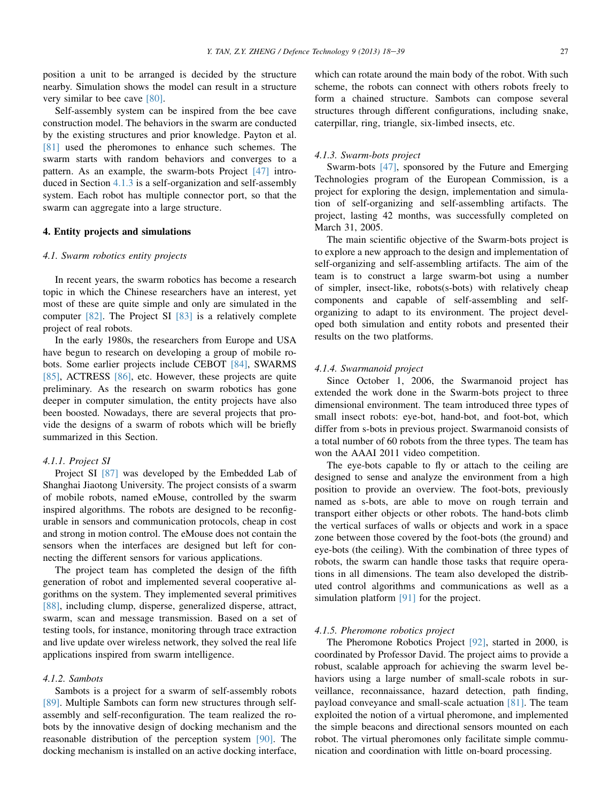position a unit to be arranged is decided by the structure nearby. Simulation shows the model can result in a structure very similar to bee cave [\[80\]](#page-19-0).

Self-assembly system can be inspired from the bee cave construction model. The behaviors in the swarm are conducted by the existing structures and prior knowledge. Payton et al. [\[81\]](#page-19-0) used the pheromones to enhance such schemes. The swarm starts with random behaviors and converges to a pattern. As an example, the swarm-bots Project [\[47\]](#page-18-0) introduced in Section 4.1.3 is a self-organization and self-assembly system. Each robot has multiple connector port, so that the swarm can aggregate into a large structure.

# 4. Entity projects and simulations

## 4.1. Swarm robotics entity projects

In recent years, the swarm robotics has become a research topic in which the Chinese researchers have an interest, yet most of these are quite simple and only are simulated in the computer [\[82\]](#page-19-0). The Project SI [\[83\]](#page-19-0) is a relatively complete project of real robots.

In the early 1980s, the researchers from Europe and USA have begun to research on developing a group of mobile robots. Some earlier projects include CEBOT [\[84\],](#page-19-0) SWARMS [\[85\]](#page-19-0), ACTRESS [\[86\],](#page-19-0) etc. However, these projects are quite preliminary. As the research on swarm robotics has gone deeper in computer simulation, the entity projects have also been boosted. Nowadays, there are several projects that provide the designs of a swarm of robots which will be briefly summarized in this Section.

# 4.1.1. Project SI

Project SI [\[87\]](#page-19-0) was developed by the Embedded Lab of Shanghai Jiaotong University. The project consists of a swarm of mobile robots, named eMouse, controlled by the swarm inspired algorithms. The robots are designed to be reconfigurable in sensors and communication protocols, cheap in cost and strong in motion control. The eMouse does not contain the sensors when the interfaces are designed but left for connecting the different sensors for various applications.

The project team has completed the design of the fifth generation of robot and implemented several cooperative algorithms on the system. They implemented several primitives [\[88\]](#page-19-0), including clump, disperse, generalized disperse, attract, swarm, scan and message transmission. Based on a set of testing tools, for instance, monitoring through trace extraction and live update over wireless network, they solved the real life applications inspired from swarm intelligence.

# 4.1.2. Sambots

Sambots is a project for a swarm of self-assembly robots [\[89\]](#page-19-0). Multiple Sambots can form new structures through selfassembly and self-reconfiguration. The team realized the robots by the innovative design of docking mechanism and the reasonable distribution of the perception system [\[90\]](#page-19-0). The docking mechanism is installed on an active docking interface,

which can rotate around the main body of the robot. With such scheme, the robots can connect with others robots freely to form a chained structure. Sambots can compose several structures through different configurations, including snake, caterpillar, ring, triangle, six-limbed insects, etc.

# 4.1.3. Swarm-bots project

Swarm-bots [\[47\]](#page-18-0), sponsored by the Future and Emerging Technologies program of the European Commission, is a project for exploring the design, implementation and simulation of self-organizing and self-assembling artifacts. The project, lasting 42 months, was successfully completed on March 31, 2005.

The main scientific objective of the Swarm-bots project is to explore a new approach to the design and implementation of self-organizing and self-assembling artifacts. The aim of the team is to construct a large swarm-bot using a number of simpler, insect-like, robots(s-bots) with relatively cheap components and capable of self-assembling and selforganizing to adapt to its environment. The project developed both simulation and entity robots and presented their results on the two platforms.

#### 4.1.4. Swarmanoid project

Since October 1, 2006, the Swarmanoid project has extended the work done in the Swarm-bots project to three dimensional environment. The team introduced three types of small insect robots: eye-bot, hand-bot, and foot-bot, which differ from s-bots in previous project. Swarmanoid consists of a total number of 60 robots from the three types. The team has won the AAAI 2011 video competition.

The eye-bots capable to fly or attach to the ceiling are designed to sense and analyze the environment from a high position to provide an overview. The foot-bots, previously named as s-bots, are able to move on rough terrain and transport either objects or other robots. The hand-bots climb the vertical surfaces of walls or objects and work in a space zone between those covered by the foot-bots (the ground) and eye-bots (the ceiling). With the combination of three types of robots, the swarm can handle those tasks that require operations in all dimensions. The team also developed the distributed control algorithms and communications as well as a simulation platform [\[91\]](#page-19-0) for the project.

## 4.1.5. Pheromone robotics project

The Pheromone Robotics Project [\[92\],](#page-19-0) started in 2000, is coordinated by Professor David. The project aims to provide a robust, scalable approach for achieving the swarm level behaviors using a large number of small-scale robots in surveillance, reconnaissance, hazard detection, path finding, payload conveyance and small-scale actuation [\[81\].](#page-19-0) The team exploited the notion of a virtual pheromone, and implemented the simple beacons and directional sensors mounted on each robot. The virtual pheromones only facilitate simple communication and coordination with little on-board processing.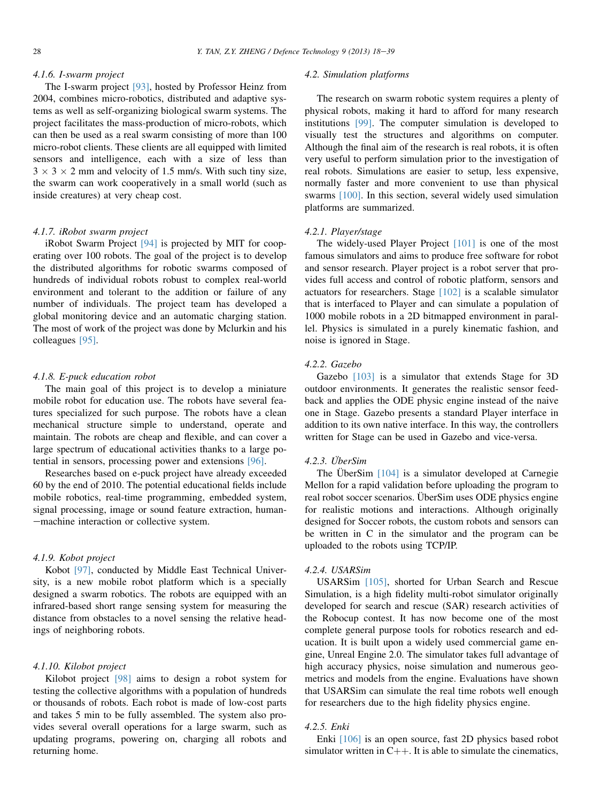# 4.1.6. I-swarm project

The I-swarm project [\[93\],](#page-19-0) hosted by Professor Heinz from 2004, combines micro-robotics, distributed and adaptive systems as well as self-organizing biological swarm systems. The project facilitates the mass-production of micro-robots, which can then be used as a real swarm consisting of more than 100 micro-robot clients. These clients are all equipped with limited sensors and intelligence, each with a size of less than  $3 \times 3 \times 2$  mm and velocity of 1.5 mm/s. With such tiny size, the swarm can work cooperatively in a small world (such as inside creatures) at very cheap cost.

# 4.1.7. iRobot swarm project

iRobot Swarm Project [\[94\]](#page-19-0) is projected by MIT for cooperating over 100 robots. The goal of the project is to develop the distributed algorithms for robotic swarms composed of hundreds of individual robots robust to complex real-world environment and tolerant to the addition or failure of any number of individuals. The project team has developed a global monitoring device and an automatic charging station. The most of work of the project was done by Mclurkin and his colleagues [\[95\].](#page-19-0)

#### 4.1.8. E-puck education robot

The main goal of this project is to develop a miniature mobile robot for education use. The robots have several features specialized for such purpose. The robots have a clean mechanical structure simple to understand, operate and maintain. The robots are cheap and flexible, and can cover a large spectrum of educational activities thanks to a large potential in sensors, processing power and extensions [\[96\]](#page-19-0).

Researches based on e-puck project have already exceeded 60 by the end of 2010. The potential educational fields include mobile robotics, real-time programming, embedded system, signal processing, image or sound feature extraction, human--machine interaction or collective system.

# 4.1.9. Kobot project

Kobot [\[97\],](#page-19-0) conducted by Middle East Technical University, is a new mobile robot platform which is a specially designed a swarm robotics. The robots are equipped with an infrared-based short range sensing system for measuring the distance from obstacles to a novel sensing the relative headings of neighboring robots.

## 4.1.10. Kilobot project

Kilobot project [\[98\]](#page-19-0) aims to design a robot system for testing the collective algorithms with a population of hundreds or thousands of robots. Each robot is made of low-cost parts and takes 5 min to be fully assembled. The system also provides several overall operations for a large swarm, such as updating programs, powering on, charging all robots and returning home.

# 4.2. Simulation platforms

The research on swarm robotic system requires a plenty of physical robots, making it hard to afford for many research institutions [\[99\]](#page-19-0). The computer simulation is developed to visually test the structures and algorithms on computer. Although the final aim of the research is real robots, it is often very useful to perform simulation prior to the investigation of real robots. Simulations are easier to setup, less expensive, normally faster and more convenient to use than physical swarms [\[100\]](#page-19-0). In this section, several widely used simulation platforms are summarized.

# 4.2.1. Player/stage

The widely-used Player Project [\[101\]](#page-19-0) is one of the most famous simulators and aims to produce free software for robot and sensor research. Player project is a robot server that provides full access and control of robotic platform, sensors and actuators for researchers. Stage [\[102\]](#page-19-0) is a scalable simulator that is interfaced to Player and can simulate a population of 1000 mobile robots in a 2D bitmapped environment in parallel. Physics is simulated in a purely kinematic fashion, and noise is ignored in Stage.

# 4.2.2. Gazebo

Gazebo [\[103\]](#page-19-0) is a simulator that extends Stage for 3D outdoor environments. It generates the realistic sensor feedback and applies the ODE physic engine instead of the naive one in Stage. Gazebo presents a standard Player interface in addition to its own native interface. In this way, the controllers written for Stage can be used in Gazebo and vice-versa.

# 4.2.3. ÜberSim

The ÜberSim  $[104]$  is a simulator developed at Carnegie Mellon for a rapid validation before uploading the program to real robot soccer scenarios. ÜberSim uses ODE physics engine for realistic motions and interactions. Although originally designed for Soccer robots, the custom robots and sensors can be written in C in the simulator and the program can be uploaded to the robots using TCP/IP.

# 4.2.4. USARSim

USARSim [\[105\]](#page-19-0), shorted for Urban Search and Rescue Simulation, is a high fidelity multi-robot simulator originally developed for search and rescue (SAR) research activities of the Robocup contest. It has now become one of the most complete general purpose tools for robotics research and education. It is built upon a widely used commercial game engine, Unreal Engine 2.0. The simulator takes full advantage of high accuracy physics, noise simulation and numerous geometrics and models from the engine. Evaluations have shown that USARSim can simulate the real time robots well enough for researchers due to the high fidelity physics engine.

# 4.2.5. Enki

Enki [\[106\]](#page-19-0) is an open source, fast 2D physics based robot simulator written in  $C++$ . It is able to simulate the cinematics,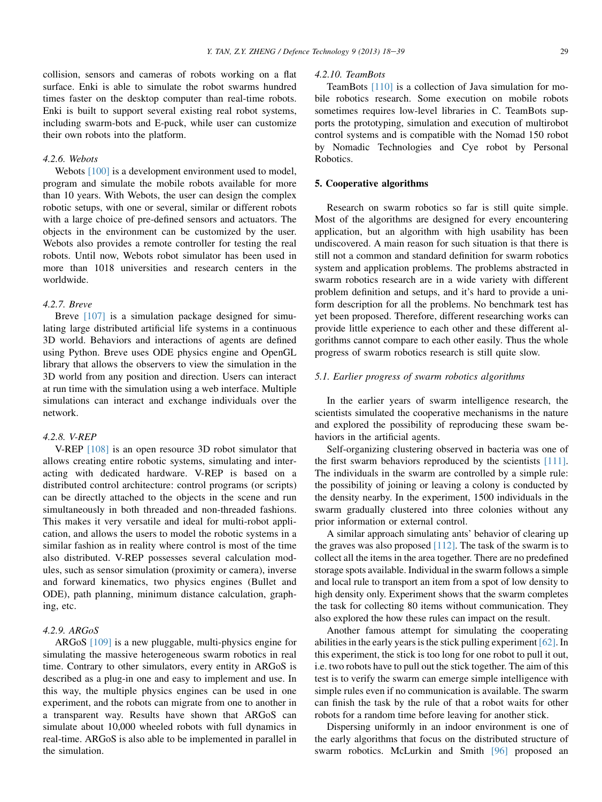<span id="page-11-0"></span>collision, sensors and cameras of robots working on a flat surface. Enki is able to simulate the robot swarms hundred times faster on the desktop computer than real-time robots. Enki is built to support several existing real robot systems, including swarm-bots and E-puck, while user can customize their own robots into the platform.

# 4.2.6. Webots

Webots [\[100\]](#page-19-0) is a development environment used to model, program and simulate the mobile robots available for more than 10 years. With Webots, the user can design the complex robotic setups, with one or several, similar or different robots with a large choice of pre-defined sensors and actuators. The objects in the environment can be customized by the user. Webots also provides a remote controller for testing the real robots. Until now, Webots robot simulator has been used in more than 1018 universities and research centers in the worldwide.

# 4.2.7. Breve

Breve [\[107\]](#page-19-0) is a simulation package designed for simulating large distributed artificial life systems in a continuous 3D world. Behaviors and interactions of agents are defined using Python. Breve uses ODE physics engine and OpenGL library that allows the observers to view the simulation in the 3D world from any position and direction. Users can interact at run time with the simulation using a web interface. Multiple simulations can interact and exchange individuals over the network.

# 4.2.8. V-REP

V-REP [\[108\]](#page-19-0) is an open resource 3D robot simulator that allows creating entire robotic systems, simulating and interacting with dedicated hardware. V-REP is based on a distributed control architecture: control programs (or scripts) can be directly attached to the objects in the scene and run simultaneously in both threaded and non-threaded fashions. This makes it very versatile and ideal for multi-robot application, and allows the users to model the robotic systems in a similar fashion as in reality where control is most of the time also distributed. V-REP possesses several calculation modules, such as sensor simulation (proximity or camera), inverse and forward kinematics, two physics engines (Bullet and ODE), path planning, minimum distance calculation, graphing, etc.

## 4.2.9. ARGoS

ARGoS [\[109\]](#page-19-0) is a new pluggable, multi-physics engine for simulating the massive heterogeneous swarm robotics in real time. Contrary to other simulators, every entity in ARGoS is described as a plug-in one and easy to implement and use. In this way, the multiple physics engines can be used in one experiment, and the robots can migrate from one to another in a transparent way. Results have shown that ARGoS can simulate about 10,000 wheeled robots with full dynamics in real-time. ARGoS is also able to be implemented in parallel in the simulation.

## 4.2.10. TeamBots

TeamBots [\[110\]](#page-19-0) is a collection of Java simulation for mobile robotics research. Some execution on mobile robots sometimes requires low-level libraries in C. TeamBots supports the prototyping, simulation and execution of multirobot control systems and is compatible with the Nomad 150 robot by Nomadic Technologies and Cye robot by Personal Robotics.

# 5. Cooperative algorithms

Research on swarm robotics so far is still quite simple. Most of the algorithms are designed for every encountering application, but an algorithm with high usability has been undiscovered. A main reason for such situation is that there is still not a common and standard definition for swarm robotics system and application problems. The problems abstracted in swarm robotics research are in a wide variety with different problem definition and setups, and it's hard to provide a uniform description for all the problems. No benchmark test has yet been proposed. Therefore, different researching works can provide little experience to each other and these different algorithms cannot compare to each other easily. Thus the whole progress of swarm robotics research is still quite slow.

# 5.1. Earlier progress of swarm robotics algorithms

In the earlier years of swarm intelligence research, the scientists simulated the cooperative mechanisms in the nature and explored the possibility of reproducing these swam behaviors in the artificial agents.

Self-organizing clustering observed in bacteria was one of the first swarm behaviors reproduced by the scientists [\[111\]](#page-19-0). The individuals in the swarm are controlled by a simple rule: the possibility of joining or leaving a colony is conducted by the density nearby. In the experiment, 1500 individuals in the swarm gradually clustered into three colonies without any prior information or external control.

A similar approach simulating ants' behavior of clearing up the graves was also proposed  $[112]$ . The task of the swarm is to collect all the items in the area together. There are no predefined storage spots available. Individual in the swarm follows a simple and local rule to transport an item from a spot of low density to high density only. Experiment shows that the swarm completes the task for collecting 80 items without communication. They also explored the how these rules can impact on the result.

Another famous attempt for simulating the cooperating abilities in the early years is the stick pulling experiment [\[62\].](#page-18-0) In this experiment, the stick is too long for one robot to pull it out, i.e. two robots have to pull out the stick together. The aim of this test is to verify the swarm can emerge simple intelligence with simple rules even if no communication is available. The swarm can finish the task by the rule of that a robot waits for other robots for a random time before leaving for another stick.

Dispersing uniformly in an indoor environment is one of the early algorithms that focus on the distributed structure of swarm robotics. McLurkin and Smith [\[96\]](#page-19-0) proposed an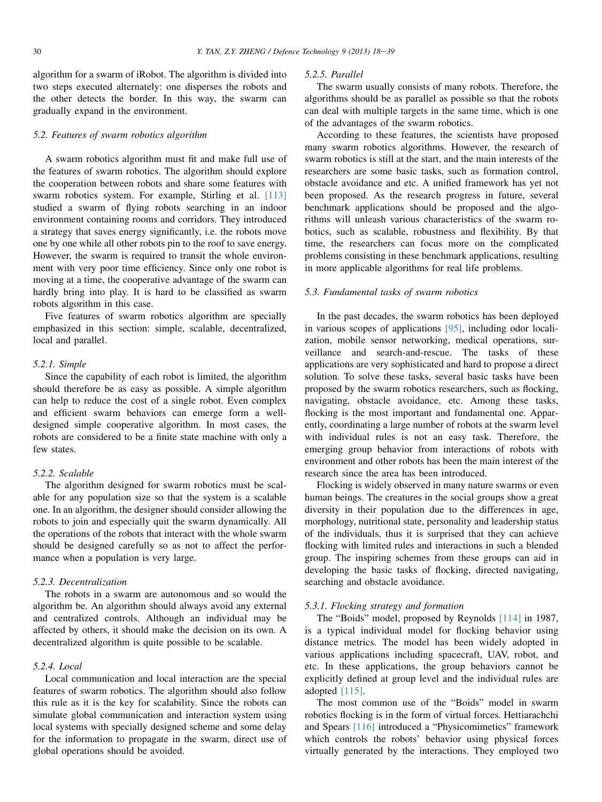<span id="page-12-0"></span>algorithm for a swarm of iRobot. The algorithm is divided into two steps executed alternately: one disperses the robots and the other detects the border. In this way, the swarm can gradually expand in the environment.

# 5.2. Features of swarm robotics algorithm

A swarm robotics algorithm must fit and make full use of the features of swarm robotics. The algorithm should explore the cooperation between robots and share some features with swarm robotics system. For example, Stirling et al. [\[113\]](#page-19-0) studied a swarm of flying robots searching in an indoor environment containing rooms and corridors. They introduced a strategy that saves energy significantly, i.e. the robots move one by one while all other robots pin to the roof to save energy. However, the swarm is required to transit the whole environment with very poor time efficiency. Since only one robot is moving at a time, the cooperative advantage of the swarm can hardly bring into play. It is hard to be classified as swarm robots algorithm in this case.

Five features of swarm robotics algorithm are specially emphasized in this section: simple, scalable, decentralized, local and parallel.

#### 5.2.1. Simple

Since the capability of each robot is limited, the algorithm should therefore be as easy as possible. A simple algorithm can help to reduce the cost of a single robot. Even complex and efficient swarm behaviors can emerge form a welldesigned simple cooperative algorithm. In most cases, the robots are considered to be a finite state machine with only a few states.

#### 5.2.2. Scalable

The algorithm designed for swarm robotics must be scalable for any population size so that the system is a scalable one. In an algorithm, the designer should consider allowing the robots to join and especially quit the swarm dynamically. All the operations of the robots that interact with the whole swarm should be designed carefully so as not to affect the performance when a population is very large.

# 5.2.3. Decentralization

The robots in a swarm are autonomous and so would the algorithm be. An algorithm should always avoid any external and centralized controls. Although an individual may be affected by others, it should make the decision on its own. A decentralized algorithm is quite possible to be scalable.

# 5.2.4. Local

Local communication and local interaction are the special features of swarm robotics. The algorithm should also follow this rule as it is the key for scalability. Since the robots can simulate global communication and interaction system using local systems with specially designed scheme and some delay for the information to propagate in the swarm, direct use of global operations should be avoided.

#### 5.2.5. Parallel

The swarm usually consists of many robots. Therefore, the algorithms should be as parallel as possible so that the robots can deal with multiple targets in the same time, which is one of the advantages of the swarm robotics.

According to these features, the scientists have proposed many swarm robotics algorithms. However, the research of swarm robotics is still at the start, and the main interests of the researchers are some basic tasks, such as formation control, obstacle avoidance and etc. A unified framework has yet not been proposed. As the research progress in future, several benchmark applications should be proposed and the algorithms will unleash various characteristics of the swarm robotics, such as scalable, robustness and flexibility. By that time, the researchers can focus more on the complicated problems consisting in these benchmark applications, resulting in more applicable algorithms for real life problems.

## 5.3. Fundamental tasks of swarm robotics

In the past decades, the swarm robotics has been deployed in various scopes of applications [\[95\]](#page-19-0), including odor localization, mobile sensor networking, medical operations, surveillance and search-and-rescue. The tasks of these applications are very sophisticated and hard to propose a direct solution. To solve these tasks, several basic tasks have been proposed by the swarm robotics researchers, such as flocking, navigating, obstacle avoidance, etc. Among these tasks, flocking is the most important and fundamental one. Apparently, coordinating a large number of robots at the swarm level with individual rules is not an easy task. Therefore, the emerging group behavior from interactions of robots with environment and other robots has been the main interest of the research since the area has been introduced.

Flocking is widely observed in many nature swarms or even human beings. The creatures in the social groups show a great diversity in their population due to the differences in age, morphology, nutritional state, personality and leadership status of the individuals, thus it is surprised that they can achieve flocking with limited rules and interactions in such a blended group. The inspiring schemes from these groups can aid in developing the basic tasks of flocking, directed navigating, searching and obstacle avoidance.

#### 5.3.1. Flocking strategy and formation

The "Boids" model, proposed by Reynolds [\[114\]](#page-19-0) in 1987, is a typical individual model for flocking behavior using distance metrics. The model has been widely adopted in various applications including spacecraft, UAV, robot, and etc. In these applications, the group behaviors cannot be explicitly defined at group level and the individual rules are adopted [\[115\]](#page-19-0).

The most common use of the "Boids" model in swarm robotics flocking is in the form of virtual forces. Hettiarachchi and Spears [\[116\]](#page-19-0) introduced a "Physicomimetics" framework which controls the robots' behavior using physical forces virtually generated by the interactions. They employed two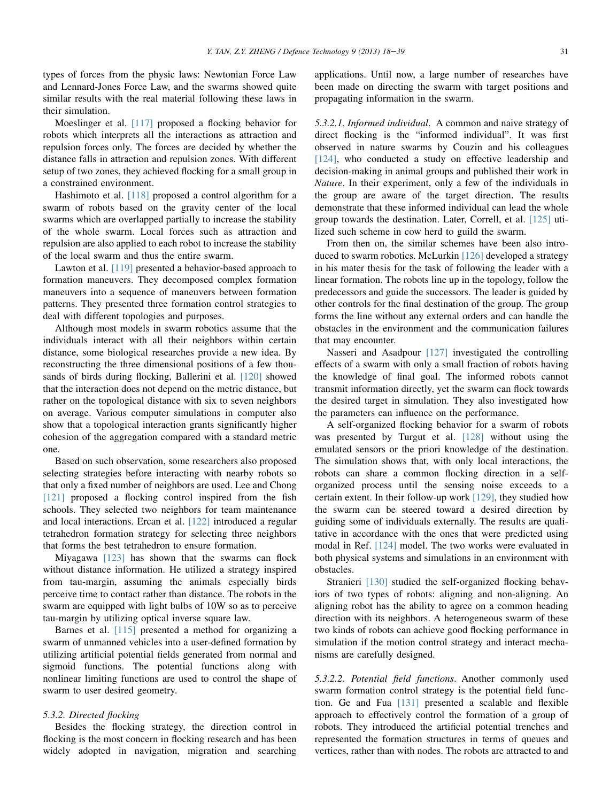types of forces from the physic laws: Newtonian Force Law and Lennard-Jones Force Law, and the swarms showed quite similar results with the real material following these laws in their simulation.

Moeslinger et al. [\[117\]](#page-19-0) proposed a flocking behavior for robots which interprets all the interactions as attraction and repulsion forces only. The forces are decided by whether the distance falls in attraction and repulsion zones. With different setup of two zones, they achieved flocking for a small group in a constrained environment.

Hashimoto et al. [\[118\]](#page-19-0) proposed a control algorithm for a swarm of robots based on the gravity center of the local swarms which are overlapped partially to increase the stability of the whole swarm. Local forces such as attraction and repulsion are also applied to each robot to increase the stability of the local swarm and thus the entire swarm.

Lawton et al. [\[119\]](#page-19-0) presented a behavior-based approach to formation maneuvers. They decomposed complex formation maneuvers into a sequence of maneuvers between formation patterns. They presented three formation control strategies to deal with different topologies and purposes.

Although most models in swarm robotics assume that the individuals interact with all their neighbors within certain distance, some biological researches provide a new idea. By reconstructing the three dimensional positions of a few thousands of birds during flocking, Ballerini et al. [\[120\]](#page-19-0) showed that the interaction does not depend on the metric distance, but rather on the topological distance with six to seven neighbors on average. Various computer simulations in computer also show that a topological interaction grants significantly higher cohesion of the aggregation compared with a standard metric one.

Based on such observation, some researchers also proposed selecting strategies before interacting with nearby robots so that only a fixed number of neighbors are used. Lee and Chong [\[121\]](#page-20-0) proposed a flocking control inspired from the fish schools. They selected two neighbors for team maintenance and local interactions. Ercan et al. [\[122\]](#page-20-0) introduced a regular tetrahedron formation strategy for selecting three neighbors that forms the best tetrahedron to ensure formation.

Miyagawa [\[123\]](#page-20-0) has shown that the swarms can flock without distance information. He utilized a strategy inspired from tau-margin, assuming the animals especially birds perceive time to contact rather than distance. The robots in the swarm are equipped with light bulbs of 10W so as to perceive tau-margin by utilizing optical inverse square law.

Barnes et al. [\[115\]](#page-19-0) presented a method for organizing a swarm of unmanned vehicles into a user-defined formation by utilizing artificial potential fields generated from normal and sigmoid functions. The potential functions along with nonlinear limiting functions are used to control the shape of swarm to user desired geometry.

# 5.3.2. Directed flocking

Besides the flocking strategy, the direction control in flocking is the most concern in flocking research and has been widely adopted in navigation, migration and searching applications. Until now, a large number of researches have been made on directing the swarm with target positions and propagating information in the swarm.

5.3.2.1. Informed individual. A common and naive strategy of direct flocking is the "informed individual". It was first observed in nature swarms by Couzin and his colleagues [\[124\]](#page-20-0), who conducted a study on effective leadership and decision-making in animal groups and published their work in Nature. In their experiment, only a few of the individuals in the group are aware of the target direction. The results demonstrate that these informed individual can lead the whole group towards the destination. Later, Correll, et al. [\[125\]](#page-20-0) utilized such scheme in cow herd to guild the swarm.

From then on, the similar schemes have been also introduced to swarm robotics. McLurkin [\[126\]](#page-20-0) developed a strategy in his mater thesis for the task of following the leader with a linear formation. The robots line up in the topology, follow the predecessors and guide the successors. The leader is guided by other controls for the final destination of the group. The group forms the line without any external orders and can handle the obstacles in the environment and the communication failures that may encounter.

Nasseri and Asadpour [\[127\]](#page-20-0) investigated the controlling effects of a swarm with only a small fraction of robots having the knowledge of final goal. The informed robots cannot transmit information directly, yet the swarm can flock towards the desired target in simulation. They also investigated how the parameters can influence on the performance.

A self-organized flocking behavior for a swarm of robots was presented by Turgut et al. [\[128\]](#page-20-0) without using the emulated sensors or the priori knowledge of the destination. The simulation shows that, with only local interactions, the robots can share a common flocking direction in a selforganized process until the sensing noise exceeds to a certain extent. In their follow-up work [\[129\]](#page-20-0), they studied how the swarm can be steered toward a desired direction by guiding some of individuals externally. The results are qualitative in accordance with the ones that were predicted using modal in Ref. [\[124\]](#page-20-0) model. The two works were evaluated in both physical systems and simulations in an environment with obstacles.

Stranieri [\[130\]](#page-20-0) studied the self-organized flocking behaviors of two types of robots: aligning and non-aligning. An aligning robot has the ability to agree on a common heading direction with its neighbors. A heterogeneous swarm of these two kinds of robots can achieve good flocking performance in simulation if the motion control strategy and interact mechanisms are carefully designed.

5.3.2.2. Potential field functions. Another commonly used swarm formation control strategy is the potential field function. Ge and Fua [\[131\]](#page-20-0) presented a scalable and flexible approach to effectively control the formation of a group of robots. They introduced the artificial potential trenches and represented the formation structures in terms of queues and vertices, rather than with nodes. The robots are attracted to and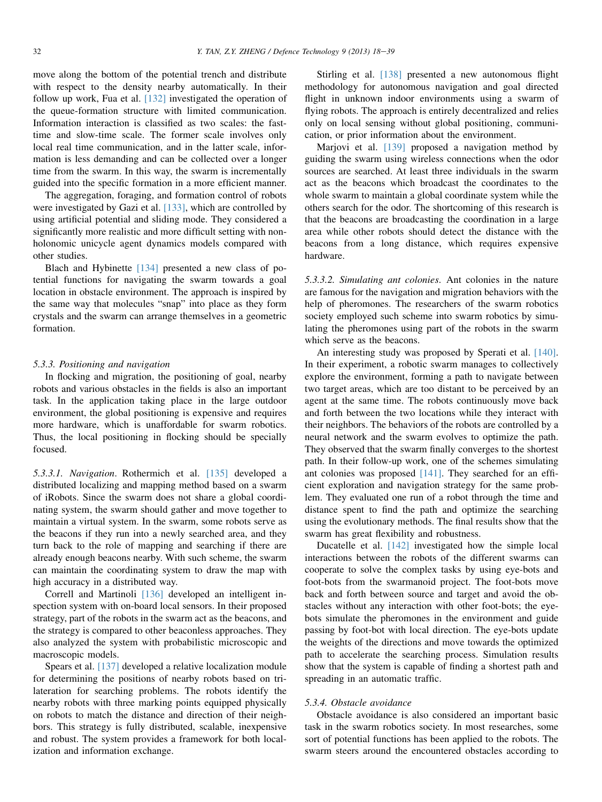move along the bottom of the potential trench and distribute with respect to the density nearby automatically. In their follow up work, Fua et al. [\[132\]](#page-20-0) investigated the operation of the queue-formation structure with limited communication. Information interaction is classified as two scales: the fasttime and slow-time scale. The former scale involves only local real time communication, and in the latter scale, information is less demanding and can be collected over a longer time from the swarm. In this way, the swarm is incrementally guided into the specific formation in a more efficient manner.

The aggregation, foraging, and formation control of robots were investigated by Gazi et al. [\[133\]](#page-20-0), which are controlled by using artificial potential and sliding mode. They considered a significantly more realistic and more difficult setting with nonholonomic unicycle agent dynamics models compared with other studies.

Blach and Hybinette [\[134\]](#page-20-0) presented a new class of potential functions for navigating the swarm towards a goal location in obstacle environment. The approach is inspired by the same way that molecules "snap" into place as they form crystals and the swarm can arrange themselves in a geometric formation.

#### 5.3.3. Positioning and navigation

In flocking and migration, the positioning of goal, nearby robots and various obstacles in the fields is also an important task. In the application taking place in the large outdoor environment, the global positioning is expensive and requires more hardware, which is unaffordable for swarm robotics. Thus, the local positioning in flocking should be specially focused.

5.3.3.1. Navigation. Rothermich et al. [\[135\]](#page-20-0) developed a distributed localizing and mapping method based on a swarm of iRobots. Since the swarm does not share a global coordinating system, the swarm should gather and move together to maintain a virtual system. In the swarm, some robots serve as the beacons if they run into a newly searched area, and they turn back to the role of mapping and searching if there are already enough beacons nearby. With such scheme, the swarm can maintain the coordinating system to draw the map with high accuracy in a distributed way.

Correll and Martinoli [\[136\]](#page-20-0) developed an intelligent inspection system with on-board local sensors. In their proposed strategy, part of the robots in the swarm act as the beacons, and the strategy is compared to other beaconless approaches. They also analyzed the system with probabilistic microscopic and macroscopic models.

Spears et al. [\[137\]](#page-20-0) developed a relative localization module for determining the positions of nearby robots based on trilateration for searching problems. The robots identify the nearby robots with three marking points equipped physically on robots to match the distance and direction of their neighbors. This strategy is fully distributed, scalable, inexpensive and robust. The system provides a framework for both localization and information exchange.

Stirling et al. [\[138\]](#page-20-0) presented a new autonomous flight methodology for autonomous navigation and goal directed flight in unknown indoor environments using a swarm of flying robots. The approach is entirely decentralized and relies only on local sensing without global positioning, communication, or prior information about the environment.

Marjovi et al. [\[139\]](#page-20-0) proposed a navigation method by guiding the swarm using wireless connections when the odor sources are searched. At least three individuals in the swarm act as the beacons which broadcast the coordinates to the whole swarm to maintain a global coordinate system while the others search for the odor. The shortcoming of this research is that the beacons are broadcasting the coordination in a large area while other robots should detect the distance with the beacons from a long distance, which requires expensive hardware.

5.3.3.2. Simulating ant colonies. Ant colonies in the nature are famous for the navigation and migration behaviors with the help of pheromones. The researchers of the swarm robotics society employed such scheme into swarm robotics by simulating the pheromones using part of the robots in the swarm which serve as the beacons.

An interesting study was proposed by Sperati et al. [\[140\]](#page-20-0). In their experiment, a robotic swarm manages to collectively explore the environment, forming a path to navigate between two target areas, which are too distant to be perceived by an agent at the same time. The robots continuously move back and forth between the two locations while they interact with their neighbors. The behaviors of the robots are controlled by a neural network and the swarm evolves to optimize the path. They observed that the swarm finally converges to the shortest path. In their follow-up work, one of the schemes simulating ant colonies was proposed [\[141\]](#page-20-0). They searched for an efficient exploration and navigation strategy for the same problem. They evaluated one run of a robot through the time and distance spent to find the path and optimize the searching using the evolutionary methods. The final results show that the swarm has great flexibility and robustness.

Ducatelle et al. [\[142\]](#page-20-0) investigated how the simple local interactions between the robots of the different swarms can cooperate to solve the complex tasks by using eye-bots and foot-bots from the swarmanoid project. The foot-bots move back and forth between source and target and avoid the obstacles without any interaction with other foot-bots; the eyebots simulate the pheromones in the environment and guide passing by foot-bot with local direction. The eye-bots update the weights of the directions and move towards the optimized path to accelerate the searching process. Simulation results show that the system is capable of finding a shortest path and spreading in an automatic traffic.

#### 5.3.4. Obstacle avoidance

Obstacle avoidance is also considered an important basic task in the swarm robotics society. In most researches, some sort of potential functions has been applied to the robots. The swarm steers around the encountered obstacles according to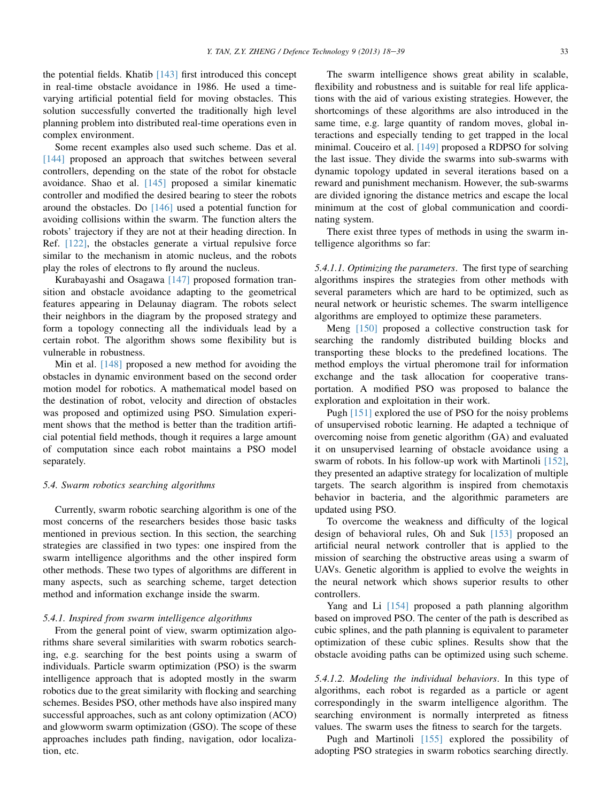the potential fields. Khatib [\[143\]](#page-20-0) first introduced this concept in real-time obstacle avoidance in 1986. He used a timevarying artificial potential field for moving obstacles. This solution successfully converted the traditionally high level planning problem into distributed real-time operations even in complex environment.

Some recent examples also used such scheme. Das et al. [\[144\]](#page-20-0) proposed an approach that switches between several controllers, depending on the state of the robot for obstacle avoidance. Shao et al. [\[145\]](#page-20-0) proposed a similar kinematic controller and modified the desired bearing to steer the robots around the obstacles. Do [\[146\]](#page-20-0) used a potential function for avoiding collisions within the swarm. The function alters the robots' trajectory if they are not at their heading direction. In Ref. [\[122\]](#page-20-0), the obstacles generate a virtual repulsive force similar to the mechanism in atomic nucleus, and the robots play the roles of electrons to fly around the nucleus.

Kurabayashi and Osagawa [\[147\]](#page-20-0) proposed formation transition and obstacle avoidance adapting to the geometrical features appearing in Delaunay diagram. The robots select their neighbors in the diagram by the proposed strategy and form a topology connecting all the individuals lead by a certain robot. The algorithm shows some flexibility but is vulnerable in robustness.

Min et al. [\[148\]](#page-20-0) proposed a new method for avoiding the obstacles in dynamic environment based on the second order motion model for robotics. A mathematical model based on the destination of robot, velocity and direction of obstacles was proposed and optimized using PSO. Simulation experiment shows that the method is better than the tradition artificial potential field methods, though it requires a large amount of computation since each robot maintains a PSO model separately.

#### 5.4. Swarm robotics searching algorithms

Currently, swarm robotic searching algorithm is one of the most concerns of the researchers besides those basic tasks mentioned in previous section. In this section, the searching strategies are classified in two types: one inspired from the swarm intelligence algorithms and the other inspired form other methods. These two types of algorithms are different in many aspects, such as searching scheme, target detection method and information exchange inside the swarm.

# 5.4.1. Inspired from swarm intelligence algorithms

From the general point of view, swarm optimization algorithms share several similarities with swarm robotics searching, e.g. searching for the best points using a swarm of individuals. Particle swarm optimization (PSO) is the swarm intelligence approach that is adopted mostly in the swarm robotics due to the great similarity with flocking and searching schemes. Besides PSO, other methods have also inspired many successful approaches, such as ant colony optimization (ACO) and glowworm swarm optimization (GSO). The scope of these approaches includes path finding, navigation, odor localization, etc.

The swarm intelligence shows great ability in scalable, flexibility and robustness and is suitable for real life applications with the aid of various existing strategies. However, the shortcomings of these algorithms are also introduced in the same time, e.g. large quantity of random moves, global interactions and especially tending to get trapped in the local minimal. Couceiro et al. [\[149\]](#page-20-0) proposed a RDPSO for solving the last issue. They divide the swarms into sub-swarms with dynamic topology updated in several iterations based on a reward and punishment mechanism. However, the sub-swarms are divided ignoring the distance metrics and escape the local minimum at the cost of global communication and coordinating system.

There exist three types of methods in using the swarm intelligence algorithms so far:

5.4.1.1. Optimizing the parameters. The first type of searching algorithms inspires the strategies from other methods with several parameters which are hard to be optimized, such as neural network or heuristic schemes. The swarm intelligence algorithms are employed to optimize these parameters.

Meng [\[150\]](#page-20-0) proposed a collective construction task for searching the randomly distributed building blocks and transporting these blocks to the predefined locations. The method employs the virtual pheromone trail for information exchange and the task allocation for cooperative transportation. A modified PSO was proposed to balance the exploration and exploitation in their work.

Pugh [\[151\]](#page-20-0) explored the use of PSO for the noisy problems of unsupervised robotic learning. He adapted a technique of overcoming noise from genetic algorithm (GA) and evaluated it on unsupervised learning of obstacle avoidance using a swarm of robots. In his follow-up work with Martinoli [\[152\]](#page-20-0), they presented an adaptive strategy for localization of multiple targets. The search algorithm is inspired from chemotaxis behavior in bacteria, and the algorithmic parameters are updated using PSO.

To overcome the weakness and difficulty of the logical design of behavioral rules, Oh and Suk [\[153\]](#page-20-0) proposed an artificial neural network controller that is applied to the mission of searching the obstructive areas using a swarm of UAVs. Genetic algorithm is applied to evolve the weights in the neural network which shows superior results to other controllers.

Yang and Li [\[154\]](#page-20-0) proposed a path planning algorithm based on improved PSO. The center of the path is described as cubic splines, and the path planning is equivalent to parameter optimization of these cubic splines. Results show that the obstacle avoiding paths can be optimized using such scheme.

5.4.1.2. Modeling the individual behaviors. In this type of algorithms, each robot is regarded as a particle or agent correspondingly in the swarm intelligence algorithm. The searching environment is normally interpreted as fitness values. The swarm uses the fitness to search for the targets.

Pugh and Martinoli [\[155\]](#page-20-0) explored the possibility of adopting PSO strategies in swarm robotics searching directly.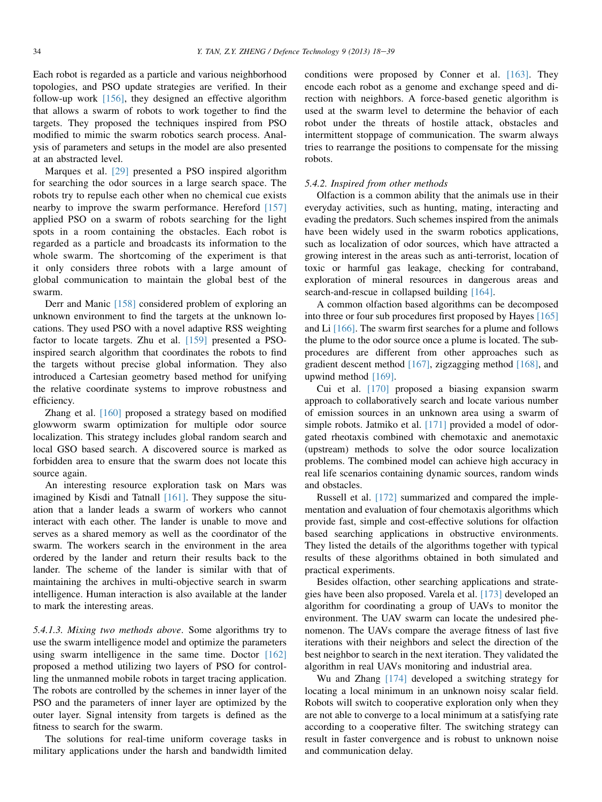Each robot is regarded as a particle and various neighborhood topologies, and PSO update strategies are verified. In their follow-up work [\[156\]](#page-20-0), they designed an effective algorithm that allows a swarm of robots to work together to find the targets. They proposed the techniques inspired from PSO modified to mimic the swarm robotics search process. Analysis of parameters and setups in the model are also presented at an abstracted level.

Marques et al. [\[29\]](#page-18-0) presented a PSO inspired algorithm for searching the odor sources in a large search space. The robots try to repulse each other when no chemical cue exists nearby to improve the swarm performance. Hereford [\[157\]](#page-20-0) applied PSO on a swarm of robots searching for the light spots in a room containing the obstacles. Each robot is regarded as a particle and broadcasts its information to the whole swarm. The shortcoming of the experiment is that it only considers three robots with a large amount of global communication to maintain the global best of the swarm.

Derr and Manic [\[158\]](#page-20-0) considered problem of exploring an unknown environment to find the targets at the unknown locations. They used PSO with a novel adaptive RSS weighting factor to locate targets. Zhu et al. [\[159\]](#page-20-0) presented a PSOinspired search algorithm that coordinates the robots to find the targets without precise global information. They also introduced a Cartesian geometry based method for unifying the relative coordinate systems to improve robustness and efficiency.

Zhang et al. [\[160\]](#page-20-0) proposed a strategy based on modified glowworm swarm optimization for multiple odor source localization. This strategy includes global random search and local GSO based search. A discovered source is marked as forbidden area to ensure that the swarm does not locate this source again.

An interesting resource exploration task on Mars was imagined by Kisdi and Tatnall [\[161\].](#page-20-0) They suppose the situation that a lander leads a swarm of workers who cannot interact with each other. The lander is unable to move and serves as a shared memory as well as the coordinator of the swarm. The workers search in the environment in the area ordered by the lander and return their results back to the lander. The scheme of the lander is similar with that of maintaining the archives in multi-objective search in swarm intelligence. Human interaction is also available at the lander to mark the interesting areas.

5.4.1.3. Mixing two methods above. Some algorithms try to use the swarm intelligence model and optimize the parameters using swarm intelligence in the same time. Doctor [\[162\]](#page-20-0) proposed a method utilizing two layers of PSO for controlling the unmanned mobile robots in target tracing application. The robots are controlled by the schemes in inner layer of the PSO and the parameters of inner layer are optimized by the outer layer. Signal intensity from targets is defined as the fitness to search for the swarm.

The solutions for real-time uniform coverage tasks in military applications under the harsh and bandwidth limited conditions were proposed by Conner et al. [\[163\]](#page-20-0). They encode each robot as a genome and exchange speed and direction with neighbors. A force-based genetic algorithm is used at the swarm level to determine the behavior of each robot under the threats of hostile attack, obstacles and intermittent stoppage of communication. The swarm always tries to rearrange the positions to compensate for the missing robots.

#### 5.4.2. Inspired from other methods

Olfaction is a common ability that the animals use in their everyday activities, such as hunting, mating, interacting and evading the predators. Such schemes inspired from the animals have been widely used in the swarm robotics applications, such as localization of odor sources, which have attracted a growing interest in the areas such as anti-terrorist, location of toxic or harmful gas leakage, checking for contraband, exploration of mineral resources in dangerous areas and search-and-rescue in collapsed building [\[164\].](#page-20-0)

A common olfaction based algorithms can be decomposed into three or four sub procedures first proposed by Hayes [\[165\]](#page-21-0) and Li [\[166\].](#page-21-0) The swarm first searches for a plume and follows the plume to the odor source once a plume is located. The subprocedures are different from other approaches such as gradient descent method [\[167\]](#page-21-0), zigzagging method [\[168\],](#page-21-0) and upwind method [\[169\].](#page-21-0)

Cui et al. [\[170\]](#page-21-0) proposed a biasing expansion swarm approach to collaboratively search and locate various number of emission sources in an unknown area using a swarm of simple robots. Jatmiko et al. [\[171\]](#page-21-0) provided a model of odorgated rheotaxis combined with chemotaxic and anemotaxic (upstream) methods to solve the odor source localization problems. The combined model can achieve high accuracy in real life scenarios containing dynamic sources, random winds and obstacles.

Russell et al. [\[172\]](#page-21-0) summarized and compared the implementation and evaluation of four chemotaxis algorithms which provide fast, simple and cost-effective solutions for olfaction based searching applications in obstructive environments. They listed the details of the algorithms together with typical results of these algorithms obtained in both simulated and practical experiments.

Besides olfaction, other searching applications and strategies have been also proposed. Varela et al. [\[173\]](#page-21-0) developed an algorithm for coordinating a group of UAVs to monitor the environment. The UAV swarm can locate the undesired phenomenon. The UAVs compare the average fitness of last five iterations with their neighbors and select the direction of the best neighbor to search in the next iteration. They validated the algorithm in real UAVs monitoring and industrial area.

Wu and Zhang [\[174\]](#page-21-0) developed a switching strategy for locating a local minimum in an unknown noisy scalar field. Robots will switch to cooperative exploration only when they are not able to converge to a local minimum at a satisfying rate according to a cooperative filter. The switching strategy can result in faster convergence and is robust to unknown noise and communication delay.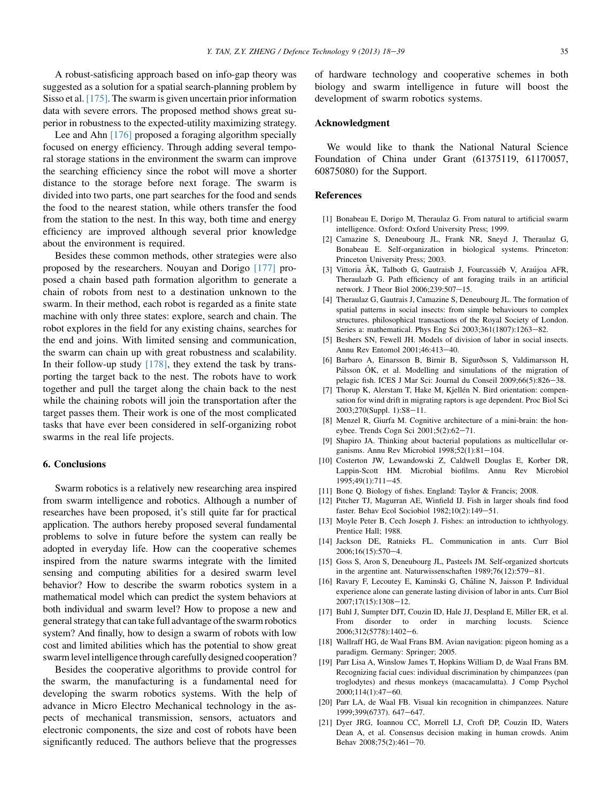<span id="page-17-0"></span>A robust-satisficing approach based on info-gap theory was suggested as a solution for a spatial search-planning problem by Sisso et al. [\[175\].](#page-21-0) The swarm is given uncertain prior information data with severe errors. The proposed method shows great superior in robustness to the expected-utility maximizing strategy.

Lee and Ahn [\[176\]](#page-21-0) proposed a foraging algorithm specially focused on energy efficiency. Through adding several temporal storage stations in the environment the swarm can improve the searching efficiency since the robot will move a shorter distance to the storage before next forage. The swarm is divided into two parts, one part searches for the food and sends the food to the nearest station, while others transfer the food from the station to the nest. In this way, both time and energy efficiency are improved although several prior knowledge about the environment is required.

Besides these common methods, other strategies were also proposed by the researchers. Nouyan and Dorigo [\[177\]](#page-21-0) proposed a chain based path formation algorithm to generate a chain of robots from nest to a destination unknown to the swarm. In their method, each robot is regarded as a finite state machine with only three states: explore, search and chain. The robot explores in the field for any existing chains, searches for the end and joins. With limited sensing and communication, the swarm can chain up with great robustness and scalability. In their follow-up study [\[178\]](#page-21-0), they extend the task by transporting the target back to the nest. The robots have to work together and pull the target along the chain back to the nest while the chaining robots will join the transportation after the target passes them. Their work is one of the most complicated tasks that have ever been considered in self-organizing robot swarms in the real life projects.

#### 6. Conclusions

Swarm robotics is a relatively new researching area inspired from swarm intelligence and robotics. Although a number of researches have been proposed, it's still quite far for practical application. The authors hereby proposed several fundamental problems to solve in future before the system can really be adopted in everyday life. How can the cooperative schemes inspired from the nature swarms integrate with the limited sensing and computing abilities for a desired swarm level behavior? How to describe the swarm robotics system in a mathematical model which can predict the system behaviors at both individual and swarm level? How to propose a new and general strategy that can take full advantage of the swarm robotics system? And finally, how to design a swarm of robots with low cost and limited abilities which has the potential to show great swarm level intelligence through carefully designed cooperation?

Besides the cooperative algorithms to provide control for the swarm, the manufacturing is a fundamental need for developing the swarm robotics systems. With the help of advance in Micro Electro Mechanical technology in the aspects of mechanical transmission, sensors, actuators and electronic components, the size and cost of robots have been significantly reduced. The authors believe that the progresses of hardware technology and cooperative schemes in both biology and swarm intelligence in future will boost the development of swarm robotics systems.

## Acknowledgment

We would like to thank the National Natural Science Foundation of China under Grant (61375119, 61170057, 60875080) for the Support.

#### References

- [1] Bonabeau E, Dorigo M, Theraulaz G. From natural to artificial swarm intelligence. Oxford: Oxford University Press; 1999.
- [2] Camazine S, Deneubourg JL, Frank NR, Sneyd J, Theraulaz G, Bonabeau E. Self-organization in biological systems. Princeton: Princeton University Press; 2003.
- [3] Vittoria  $\tilde{A}K$ , Talbotb G, Gautraisb J, Fourcassiéb V, Araújoa AFR, Theraulazb G. Path efficiency of ant foraging trails in an artificial network. J Theor Biol 2006;239:507-15.
- [4] Theraulaz G, Gautrais J, Camazine S, Deneubourg JL. The formation of spatial patterns in social insects: from simple behaviours to complex structures. philosophical transactions of the Royal Society of London. Series a: mathematical. Phys Eng Sci 2003;361(1807):1263-82.
- [5] Beshers SN, Fewell JH. Models of division of labor in social insects. Annu Rev Entomol 2001;46:413-40.
- [6] Barbaro A, Einarsson B, Birnir B, Sigurðsson S, Valdimarsson H, Pálsson ÓK, et al. Modelling and simulations of the migration of pelagic fish. ICES J Mar Sci: Journal du Conseil 2009;66(5):826-38.
- [7] Thorup K, Alerstam T, Hake M, Kjellén N. Bird orientation: compensation for wind drift in migrating raptors is age dependent. Proc Biol Sci 2003;270(Suppl. 1):S8-11.
- [8] Menzel R, Giurfa M. Cognitive architecture of a mini-brain: the honeybee. Trends Cogn Sci  $2001;5(2):62-71$ .
- [9] Shapiro JA. Thinking about bacterial populations as multicellular organisms. Annu Rev Microbiol  $1998;52(1):81-104$ .
- [10] Costerton JW, Lewandowski Z, Caldwell Douglas E, Korber DR, Lappin-Scott HM. Microbial biofilms. Annu Rev Microbiol 1995;49(1):711-45.
- [11] Bone Q. Biology of fishes. England: Taylor & Francis; 2008.
- [12] Pitcher TJ, Magurran AE, Winfield IJ. Fish in larger shoals find food faster. Behav Ecol Sociobiol  $1982;10(2):149-51$ .
- [13] Moyle Peter B, Cech Joseph J. Fishes: an introduction to ichthyology. Prentice Hall; 1988.
- [14] Jackson DE, Ratnieks FL. Communication in ants. Curr Biol  $2006;16(15):570-4.$
- [15] Goss S, Aron S, Deneubourg JL, Pasteels JM. Self-organized shortcuts in the argentine ant. Naturwissenschaften  $1989;76(12):579-81$ .
- [16] Ravary F, Lecoutey E, Kaminski G, Châline N, Jaisson P. Individual experience alone can generate lasting division of labor in ants. Curr Biol  $2007;17(15):1308-12.$
- [17] Buhl J, Sumpter DJT, Couzin ID, Hale JJ, Despland E, Miller ER, et al. From disorder to order in marching locusts. Science 2006;312(5778):1402-6.
- [18] Wallraff HG, de Waal Frans BM. Avian navigation: pigeon homing as a paradigm. Germany: Springer; 2005.
- [19] Parr Lisa A, Winslow James T, Hopkins William D, de Waal Frans BM. Recognizing facial cues: individual discrimination by chimpanzees (pan troglodytes) and rhesus monkeys (macacamulatta). J Comp Psychol 2000;114(1):47-60.
- [20] Parr LA, de Waal FB. Visual kin recognition in chimpanzees. Nature 1999;399(6737). 647-647.
- [21] Dyer JRG, Ioannou CC, Morrell LJ, Croft DP, Couzin ID, Waters Dean A, et al. Consensus decision making in human crowds. Anim Behav 2008;75(2):461-70.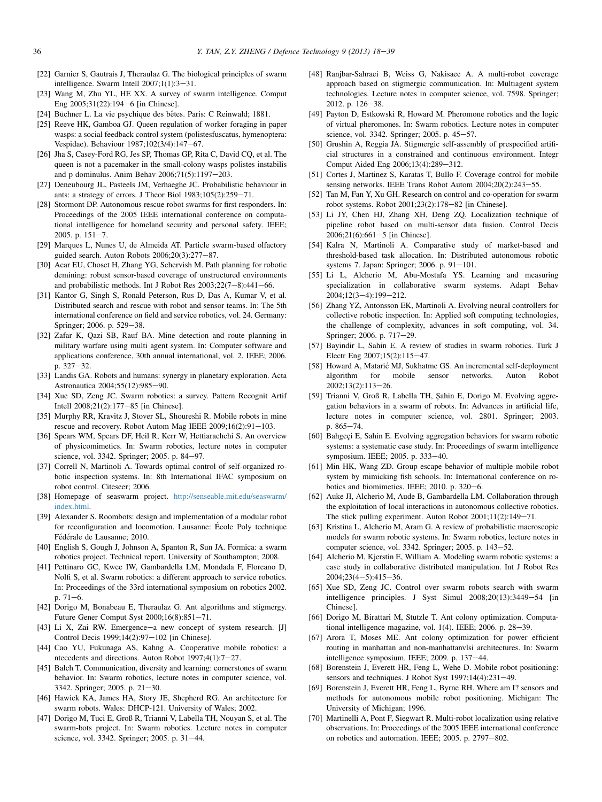- <span id="page-18-0"></span>[22] Garnier S, Gautrais J, Theraulaz G. The biological principles of swarm intelligence. Swarm Intell  $2007;1(1):3-31$ .
- [23] Wang M, Zhu YL, HE XX. A survey of swarm intelligence. Comput Eng  $2005;31(22):194-6$  [in Chinese].
- [24] Büchner L. La vie psychique des bêtes. Paris: C Reinwald; 1881.
- [25] Reeve HK, Gamboa GJ. Queen regulation of worker foraging in paper wasps: a social feedback control system (polistesfuscatus, hymenoptera: Vespidae). Behaviour 1987;102(3/4):147-67.
- [26] Jha S, Casey-Ford RG, Jes SP, Thomas GP, Rita C, David CQ, et al. The queen is not a pacemaker in the small-colony wasps polistes instabilis and p dominulus. Anim Behav  $2006;71(5):1197-203$ .
- [27] Deneubourg JL, Pasteels JM, Verhaeghe JC. Probabilistic behaviour in ants: a strategy of errors. J Theor Biol  $1983;105(2):259-71$ .
- [28] Stormont DP. Autonomous rescue robot swarms for first responders. In: Proceedings of the 2005 IEEE international conference on computational intelligence for homeland security and personal safety. IEEE; 2005. p.  $151-7$ .
- [29] Marques L, Nunes U, de Almeida AT. Particle swarm-based olfactory guided search. Auton Robots  $2006;20(3):277-87$ .
- [30] Acar EU, Choset H, Zhang YG, Schervish M. Path planning for robotic demining: robust sensor-based coverage of unstructured environments and probabilistic methods. Int J Robot Res  $2003;22(7-8):441-66$ .
- [31] Kantor G, Singh S, Ronald Peterson, Rus D, Das A, Kumar V, et al. Distributed search and rescue with robot and sensor teams. In: The 5th international conference on field and service robotics, vol. 24. Germany: Springer; 2006. p. 529-38.
- [32] Zafar K, Qazi SB, Rauf BA. Mine detection and route planning in military warfare using multi agent system. In: Computer software and applications conference, 30th annual international, vol. 2. IEEE; 2006. p. 327-32.
- [33] Landis GA. Robots and humans: synergy in planetary exploration. Acta Astronautica 2004;55(12):985-90.
- [34] Xue SD, Zeng JC. Swarm robotics: a survey. Pattern Recognit Artif Intell 2008;21(2):177-85 [in Chinese].
- [35] Murphy RR, Kravitz J, Stover SL, Shoureshi R. Mobile robots in mine rescue and recovery. Robot Autom Mag IEEE 2009;16(2):91-103.
- [36] Spears WM, Spears DF, Heil R, Kerr W, Hettiarachchi S. An overview of physicomimetics. In: Swarm robotics, lecture notes in computer science, vol. 3342. Springer; 2005. p. 84-97.
- [37] Correll N, Martinoli A. Towards optimal control of self-organized robotic inspection systems. In: 8th International IFAC symposium on robot control. Citeseer; 2006.
- [38] Homepage of seaswarm project. [http://senseable.mit.edu/seaswarm/](http://senseable.mit.edu/seaswarm/index.html) [index.html](http://senseable.mit.edu/seaswarm/index.html).
- [39] Alexander S. Roombots: design and implementation of a modular robot for reconfiguration and locomotion. Lausanne: École Poly technique Fédérale de Lausanne; 2010.
- [40] English S, Gough J, Johnson A, Spanton R, Sun JA. Formica: a swarm robotics project. Technical report. University of Southampton; 2008.
- [41] Pettinaro GC, Kwee IW, Gambardella LM, Mondada F, Floreano D, Nolfi S, et al. Swarm robotics: a different approach to service robotics. In: Proceedings of the 33rd international symposium on robotics 2002. p.  $71-6$ .
- [42] Dorigo M, Bonabeau E, Theraulaz G. Ant algorithms and stigmergy. Future Gener Comput Syst  $2000;16(8):851-71$ .
- [43] Li X, Zai RW. Emergence-a new concept of system research. [J] Control Decis 1999;14(2):97-102 [in Chinese].
- [44] Cao YU, Fukunaga AS, Kahng A. Cooperative mobile robotics: a ntecedents and directions. Auton Robot  $1997;4(1):7-27$ .
- [45] Balch T. Communication, diversity and learning: cornerstones of swarm behavior. In: Swarm robotics, lecture notes in computer science, vol. 3342. Springer; 2005. p. 21-30.
- [46] Hawick KA, James HA, Story JE, Shepherd RG. An architecture for swarm robots. Wales: DHCP-121. University of Wales; 2002.
- [47] Dorigo M, Tuci E, Groß R, Trianni V, Labella TH, Nouyan S, et al. The swarm-bots project. In: Swarm robotics. Lecture notes in computer science, vol. 3342. Springer; 2005. p. 31-44.
- [48] Ranjbar-Sahraei B, Weiss G, Nakisaee A. A multi-robot coverage approach based on stigmergic communication. In: Multiagent system technologies. Lecture notes in computer science, vol. 7598. Springer; 2012. p. 126-38.
- [49] Payton D, Estkowski R, Howard M. Pheromone robotics and the logic of virtual pheromones. In: Swarm robotics. Lecture notes in computer science, vol. 3342. Springer; 2005. p. 45-57.
- [50] Grushin A, Reggia JA. Stigmergic self-assembly of prespecified artificial structures in a constrained and continuous environment. Integr Comput Aided Eng 2006;13(4):289-312.
- [51] Cortes J, Martinez S, Karatas T, Bullo F. Coverage control for mobile sensing networks. IEEE Trans Robot Autom  $2004:20(2):243-55$ .
- [52] Tan M, Fan Y, Xu GH. Research on control and co-operation for swarm robot systems. Robot 2001;23(2):178-82 [in Chinese].
- [53] Li JY, Chen HJ, Zhang XH, Deng ZQ. Localization technique of pipeline robot based on multi-sensor data fusion. Control Decis  $2006;21(6):661-5$  [in Chinese].
- [54] Kalra N, Martinoli A. Comparative study of market-based and threshold-based task allocation. In: Distributed autonomous robotic systems 7. Japan: Springer; 2006. p. 91-101.
- [55] Li L, Alcherio M, Abu-Mostafa YS. Learning and measuring specialization in collaborative swarm systems. Adapt Behav 2004;12(3-4):199-212.
- [56] Zhang YZ, Antonsson EK, Martinoli A. Evolving neural controllers for collective robotic inspection. In: Applied soft computing technologies, the challenge of complexity, advances in soft computing, vol. 34. Springer; 2006. p. 717-29.
- [57] Bayindir L, Sahin E. A review of studies in swarm robotics. Turk J Electr Eng  $2007;15(2):115-47$ .
- [58] Howard A, Matarić MJ, Sukhatme GS. An incremental self-deployment algorithm for mobile sensor networks. Auton Robot  $2002:13(2):113-26.$
- [59] Trianni V, Groß R, Labella TH, Sahin E, Dorigo M. Evolving aggregation behaviors in a swarm of robots. In: Advances in artificial life, lecture notes in computer science, vol. 2801. Springer; 2003. p.  $865 - 74$ .
- [60] Bahgeçi E, Sahin E. Evolving aggregation behaviors for swarm robotic systems: a systematic case study. In: Proceedings of swarm intelligence symposium. IEEE; 2005. p. 333-40.
- [61] Min HK, Wang ZD. Group escape behavior of multiple mobile robot system by mimicking fish schools. In: International conference on robotics and biomimetics. IEEE;  $2010$ . p.  $320-6$ .
- [62] Auke JI, Alcherio M, Aude B, Gambardella LM. Collaboration through the exploitation of local interactions in autonomous collective robotics. The stick pulling experiment. Auton Robot  $2001;11(2):149-71$ .
- [63] Kristina L, Alcherio M, Aram G. A review of probabilistic macroscopic models for swarm robotic systems. In: Swarm robotics, lecture notes in computer science, vol. 3342. Springer; 2005. p. 143-52.
- [64] Alcherio M, Kjerstin E, William A. Modeling swarm robotic systems: a case study in collaborative distributed manipulation. Int J Robot Res  $2004;23(4-5):415-36.$
- [65] Xue SD, Zeng JC. Control over swarm robots search with swarm intelligence principles. J Syst Simul  $2008;20(13):3449-54$  [in Chinese].
- [66] Dorigo M, Birattari M, Stutzle T. Ant colony optimization. Computational intelligence magazine, vol.  $1(4)$ . IEEE;  $2006$ . p.  $28-39$ .
- [67] Arora T, Moses ME. Ant colony optimization for power efficient routing in manhattan and non-manhattanvlsi architectures. In: Swarm intelligence symposium. IEEE;  $2009$ . p.  $137-44$ .
- [68] Borenstein J, Everett HR, Feng L, Wehe D. Mobile robot positioning: sensors and techniques. J Robot Syst  $1997;14(4):231-49$ .
- [69] Borenstein J, Everett HR, Feng L, Byrne RH. Where am I? sensors and methods for autonomous mobile robot positioning. Michigan: The University of Michigan; 1996.
- [70] Martinelli A, Pont F, Siegwart R. Multi-robot localization using relative observations. In: Proceedings of the 2005 IEEE international conference on robotics and automation. IEEE;  $2005$ . p.  $2797-802$ .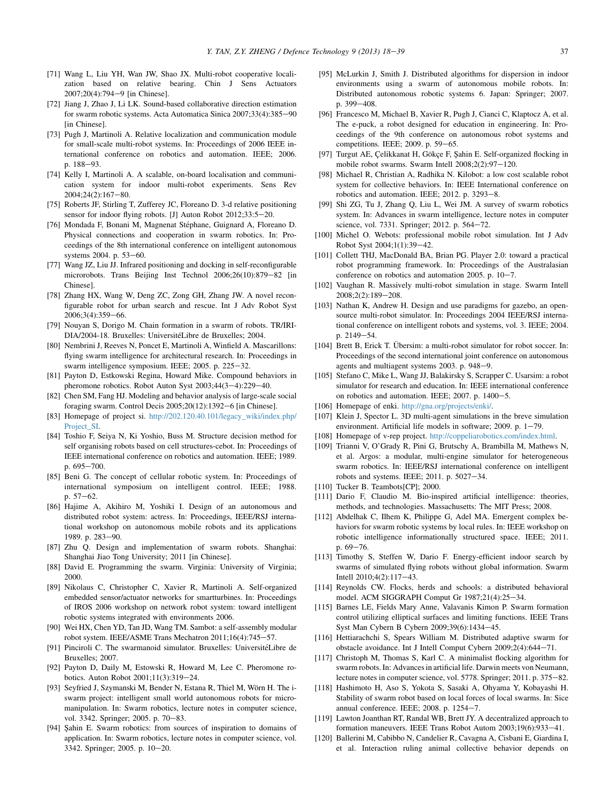- <span id="page-19-0"></span>[71] Wang L, Liu YH, Wan JW, Shao JX. Multi-robot cooperative localization based on relative bearing. Chin J Sens Actuators 2007;20(4):794-9 [in Chinese].
- [72] Jiang J, Zhao J, Li LK. Sound-based collaborative direction estimation for swarm robotic systems. Acta Automatica Sinica 2007;33(4):385-90 [in Chinese].
- [73] Pugh J, Martinoli A. Relative localization and communication module for small-scale multi-robot systems. In: Proceedings of 2006 IEEE international conference on robotics and automation. IEEE; 2006. p. 188-93.
- [74] Kelly I, Martinoli A. A scalable, on-board localisation and communication system for indoor multi-robot experiments. Sens Rev  $2004:24(2):167-80.$
- [75] Roberts JF, Stirling T, Zufferey JC, Floreano D. 3-d relative positioning sensor for indoor flying robots. [J] Auton Robot 2012;33:5-20.
- [76] Mondada F, Bonani M, Magnenat Stéphane, Guignard A, Floreano D. Physical connections and cooperation in swarm robotics. In: Proceedings of the 8th international conference on intelligent autonomous systems  $2004$ . p.  $53-60$ .
- [77] Wang JZ, Liu JJ. Infrared positioning and docking in self-reconfigurable microrobots. Trans Beijing Inst Technol  $2006;26(10):879-82$  [in Chinese].
- [78] Zhang HX, Wang W, Deng ZC, Zong GH, Zhang JW. A novel reconfigurable robot for urban search and rescue. Int J Adv Robot Syst 2006;3(4):359-66.
- [79] Nouyan S, Dorigo M. Chain formation in a swarm of robots. TR/IRI-DIA/2004-18. Bruxelles: UniversitéLibre de Bruxelles; 2004.
- [80] Nembrini J, Reeves N, Poncet E, Martinoli A, Winfield A. Mascarillons: flying swarm intelligence for architectural research. In: Proceedings in swarm intelligence symposium. IEEE;  $2005$ . p.  $225-32$ .
- [81] Payton D, Estkowski Regina, Howard Mike. Compound behaviors in pheromone robotics. Robot Auton Syst  $2003;44(3-4):229-40$ .
- [82] Chen SM, Fang HJ. Modeling and behavior analysis of large-scale social foraging swarm. Control Decis  $2005;20(12):1392-6$  [in Chinese].
- [83] Homepage of project si. [http://202.120.40.101/legacy\\_wiki/index.php/](http://202.120.40.101/legacy_wiki/index.php/Project_SI) [Project\\_SI](http://202.120.40.101/legacy_wiki/index.php/Project_SI).
- [84] Toshio F, Seiya N, Ki Yoshio, Buss M. Structure decision method for self organising robots based on cell structures-cebot. In: Proceedings of IEEE international conference on robotics and automation. IEEE; 1989. p. 695-700.
- [85] Beni G. The concept of cellular robotic system. In: Proceedings of international symposium on intelligent control. IEEE; 1988. p.  $57-62$ .
- [86] Hajime A, Akihiro M, Yoshiki I. Design of an autonomous and distributed robot system: actress. In: Proceedings, IEEE/RSJ international workshop on autonomous mobile robots and its applications 1989. p. 283-90.
- [87] Zhu Q. Design and implementation of swarm robots. Shanghai: Shanghai Jiao Tong University; 2011 [in Chinese].
- [88] David E. Programming the swarm. Virginia: University of Virginia; 2000.
- [89] Nikolaus C, Christopher C, Xavier R, Martinoli A. Self-organized embedded sensor/actuator networks for smartturbines. In: Proceedings of IROS 2006 workshop on network robot system: toward intelligent robotic systems integrated with environments 2006.
- [90] Wei HX, Chen YD, Tan JD, Wang TM. Sambot: a self-assembly modular robot system. IEEE/ASME Trans Mechatron 2011;16(4):745-57.
- [91] Pinciroli C. The swarmanoid simulator. Bruxelles: UniversitéLibre de Bruxelles; 2007.
- [92] Payton D, Daily M, Estowski R, Howard M, Lee C. Pheromone robotics. Auton Robot 2001;11(3):319-24.
- [93] Seyfried J, Szymanski M, Bender N, Estana R, Thiel M, Wörn H. The iswarm project: intelligent small world autonomous robots for micromanipulation. In: Swarm robotics, lecture notes in computer science, vol. 3342. Springer; 2005. p. 70-83.
- [94] Şahin E. Swarm robotics: from sources of inspiration to domains of application. In: Swarm robotics, lecture notes in computer science, vol. 3342. Springer; 2005. p. 10-20.
- [95] McLurkin J, Smith J. Distributed algorithms for dispersion in indoor environments using a swarm of autonomous mobile robots. In: Distributed autonomous robotic systems 6. Japan: Springer; 2007. p.  $399 - 408$ .
- [96] Francesco M, Michael B, Xavier R, Pugh J, Cianci C, Klaptocz A, et al. The e-puck, a robot designed for education in engineering. In: Proceedings of the 9th conference on autonomous robot systems and competitions. IEEE; 2009. p. 59-65.
- [97] Turgut AE, Çelikkanat H, Gökçe F, Şahin E. Self-organized flocking in mobile robot swarms. Swarm Intell  $2008;2(2):97-120$ .
- [98] Michael R, Christian A, Radhika N. Kilobot: a low cost scalable robot system for collective behaviors. In: IEEE International conference on robotics and automation. IEEE;  $2012$ . p.  $3293-8$ .
- [99] Shi ZG, Tu J, Zhang Q, Liu L, Wei JM. A survey of swarm robotics system. In: Advances in swarm intelligence, lecture notes in computer science, vol. 7331. Springer; 2012. p.  $564 - 72$ .
- [100] Michel O. Webots: professional mobile robot simulation. Int J Adv Robot Syst 2004;1(1):39-42.
- [101] Collett THJ, MacDonald BA, Brian PG. Player 2.0: toward a practical robot programming framework. In: Proceedings of the Australasian conference on robotics and automation  $2005$ . p.  $10-7$ .
- [102] Vaughan R. Massively multi-robot simulation in stage. Swarm Intell  $2008:2(2):189-208$ .
- [103] Nathan K, Andrew H. Design and use paradigms for gazebo, an opensource multi-robot simulator. In: Proceedings 2004 IEEE/RSJ international conference on intelligent robots and systems, vol. 3. IEEE; 2004. p. 2149-54.
- [104] Brett B, Erick T. Übersim: a multi-robot simulator for robot soccer. In: Proceedings of the second international joint conference on autonomous agents and multiagent systems 2003. p. 948-9.
- [105] Stefano C, Mike L, Wang JJ, Balakirsky S, Scrapper C. Usarsim: a robot simulator for research and education. In: IEEE international conference on robotics and automation. IEEE;  $2007$ . p.  $1400-5$ .
- [106] Homepage of enki. <http://gna.org/projects/enki/>.
- [107] Klein J, Spector L. 3D multi-agent simulations in the breve simulation environment. Artificial life models in software; 2009. p.  $1-79$ .
- [108] Homepage of v-rep project. [http://coppeliarobotics.com/index.html.](http://coppeliarobotics.com/index.html)
- [109] Trianni V, O'Grady R, Pini G, Brutschy A, Brambilla M, Mathews N, et al. Argos: a modular, multi-engine simulator for heterogeneous swarm robotics. In: IEEE/RSJ international conference on intelligent robots and systems. IEEE;  $2011$ . p.  $5027-34$ .
- [110] Tucker B. Teambots[CP]; 2000.
- [111] Dario F, Claudio M. Bio-inspired artificial intelligence: theories, methods, and technologies. Massachusetts: The MIT Press; 2008.
- [112] Abdelhak C, Ilhem K, Philippe G, Adel MA. Emergent complex behaviors for swarm robotic systems by local rules. In: IEEE workshop on robotic intelligence informationally structured space. IEEE; 2011. p.  $69 - 76$ .
- [113] Timothy S, Steffen W, Dario F. Energy-efficient indoor search by swarms of simulated flying robots without global information. Swarm Intell  $2010;4(2):117-43$ .
- [114] Reynolds CW. Flocks, herds and schools: a distributed behavioral model. ACM SIGGRAPH Comput Gr 1987;21(4):25-34.
- [115] Barnes LE, Fields Mary Anne, Valavanis Kimon P. Swarm formation control utilizing elliptical surfaces and limiting functions. IEEE Trans Syst Man Cybern B Cybern 2009;39(6):1434-45.
- [116] Hettiarachchi S, Spears William M. Distributed adaptive swarm for obstacle avoidance. Int J Intell Comput Cybern 2009;2(4):644-71.
- [117] Christoph M, Thomas S, Karl C. A minimalist flocking algorithm for swarm robots. In: Advances in artificial life. Darwin meets von Neumann, lecture notes in computer science, vol. 5778. Springer; 2011. p. 375-82.
- [118] Hashimoto H, Aso S, Yokota S, Sasaki A, Ohyama Y, Kobayashi H. Stability of swarm robot based on local forces of local swarms. In: Sice annual conference. IEEE; 2008. p. 1254-7.
- [119] Lawton Joanthan RT, Randal WB, Brett JY. A decentralized approach to formation maneuvers. IEEE Trans Robot Autom 2003;19(6):933-41.
- [120] Ballerini M, Cabibbo N, Candelier R, Cavagna A, Cisbani E, Giardina I, et al. Interaction ruling animal collective behavior depends on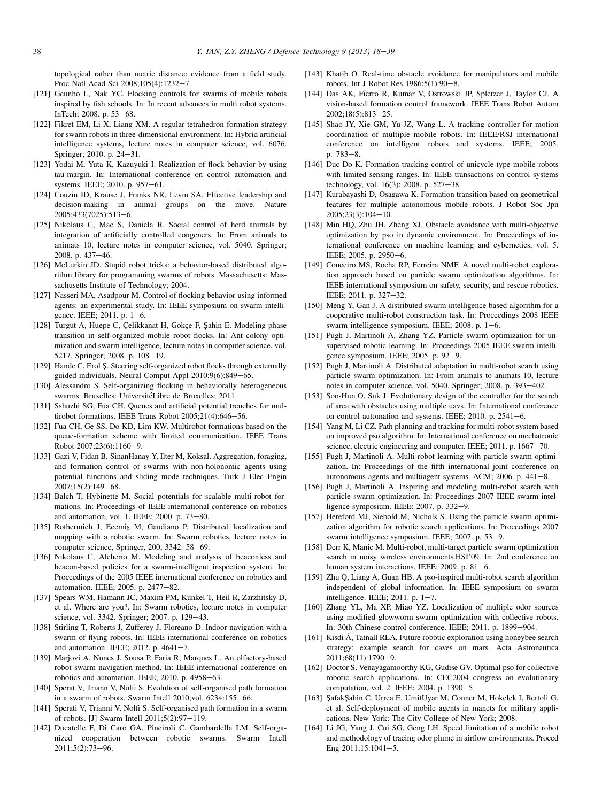<span id="page-20-0"></span>topological rather than metric distance: evidence from a field study. Proc Natl Acad Sci 2008;105(4):1232-7.

- [121] Geunho L, Nak YC. Flocking controls for swarms of mobile robots inspired by fish schools. In: In recent advances in multi robot systems. InTech; 2008. p. 53-68.
- [122] Fikret EM, Li X, Liang XM. A regular tetrahedron formation strategy for swarm robots in three-dimensional environment. In: Hybrid artificial intelligence systems, lecture notes in computer science, vol. 6076. Springer; 2010. p. 24-31.
- [123] Yodai M, Yuta K, Kazuyuki I. Realization of flock behavior by using tau-margin. In: International conference on control automation and systems. IEEE; 2010. p. 957-61.
- [124] Couzin ID, Krause J, Franks NR, Levin SA. Effective leadership and decision-making in animal groups on the move. Nature 2005;433(7025):513-6.
- [125] Nikolaus C, Mac S, Daniela R. Social control of herd animals by integration of artificially controlled congeners. In: From animals to animats 10, lecture notes in computer science, vol. 5040. Springer;  $2008.$  p.  $437-46.$
- [126] McLurkin JD. Stupid robot tricks: a behavior-based distributed algorithm library for programming swarms of robots. Massachusetts: Massachusetts Institute of Technology; 2004.
- [127] Nasseri MA, Asadpour M. Control of flocking behavior using informed agents: an experimental study. In: IEEE symposium on swarm intelligence. IEEE;  $2011$ . p.  $1-6$ .
- [128] Turgut A, Huepe C, Çelikkanat H, Gökçe F, Şahin E. Modeling phase transition in self-organized mobile robot flocks. In: Ant colony optimization and swarm intelligence, lecture notes in computer science, vol. 5217. Springer; 2008. p. 108-19.
- [129] Hande C, Erol S. Steering self-organized robot flocks through externally guided individuals. Neural Comput Appl 2010;9(6):849-65.
- [130] Alessandro S. Self-organizing flocking in behaviorally heterogeneous swarms. Bruxelles: UniversitéLibre de Bruxelles; 2011.
- [131] Sshuzhi SG, Fua CH. Queues and artificial potential trenches for multirobot formations. IEEE Trans Robot  $2005;21(4):646-56$ .
- [132] Fua CH, Ge SS, Do KD, Lim KW. Multirobot formations based on the queue-formation scheme with limited communication. IEEE Trans Robot 2007;23(6):1160-9.
- [133] Gazi V, Fidan B, SinanHanay Y, Ilter M, Köksal. Aggregation, foraging, and formation control of swarms with non-holonomic agents using potential functions and sliding mode techniques. Turk J Elec Engin  $2007;15(2):149-68.$
- [134] Balch T, Hybinette M. Social potentials for scalable multi-robot formations. In: Proceedings of IEEE international conference on robotics and automation, vol. 1. IEEE; 2000. p. 73-80.
- [135] Rothermich J, Ecemis M, Gaudiano P. Distributed localization and mapping with a robotic swarm. In: Swarm robotics, lecture notes in computer science, Springer, 200, 3342: 58-69.
- [136] Nikolaus C, Alcherio M. Modeling and analysis of beaconless and beacon-based policies for a swarm-intelligent inspection system. In: Proceedings of the 2005 IEEE international conference on robotics and automation. IEEE; 2005. p. 2477-82.
- [137] Spears WM, Hamann JC, Maxim PM, Kunkel T, Heil R, Zarzhitsky D, et al. Where are you?. In: Swarm robotics, lecture notes in computer science, vol. 3342. Springer; 2007. p. 129-43.
- [138] Stirling T, Roberts J, Zufferey J, Floreano D. Indoor navigation with a swarm of flying robots. In: IEEE international conference on robotics and automation. IEEE;  $2012$ . p.  $4641-7$ .
- [139] Marjovi A, Nunes J, Sousa P, Faria R, Marques L. An olfactory-based robot swarm navigation method. In: IEEE international conference on robotics and automation. IEEE; 2010. p. 4958-63.
- [140] Sperat V, Triann V, Nolfi S. Evolution of self-organised path formation in a swarm of robots. Swarm Intell  $2010$ ;vol.  $6234:155-66$ .
- [141] Sperati V, Trianni V, Nolfi S. Self-organised path formation in a swarm of robots. [J] Swarm Intell  $2011;5(2):97-119$ .
- [142] Ducatelle F, Di Caro GA, Pinciroli C, Gambardella LM. Self-organized cooperation between robotic swarms. Swarm Intell 2011;5(2):73-96.
- [143] Khatib O. Real-time obstacle avoidance for manipulators and mobile robots. Int J Robot Res  $1986;5(1):90-8$ .
- [144] Das AK, Fierro R, Kumar V, Ostrowski JP, Spletzer J, Taylor CJ. A vision-based formation control framework. IEEE Trans Robot Autom 2002;18(5):813-25.
- [145] Shao JY, Xie GM, Yu JZ, Wang L. A tracking controller for motion coordination of multiple mobile robots. In: IEEE/RSJ international conference on intelligent robots and systems. IEEE; 2005. p. 783-8.
- [146] Duc Do K. Formation tracking control of unicycle-type mobile robots with limited sensing ranges. In: IEEE transactions on control systems technology, vol.  $16(3)$ ; 2008. p.  $527-38$ .
- [147] Kurabayashi D, Osagawa K. Formation transition based on geometrical features for multiple autonomous mobile robots. J Robot Soc Jpn  $2005:23(3):104-10.$
- [148] Min HO, Zhu JH, Zheng XJ, Obstacle avoidance with multi-objective optimization by pso in dynamic environment. In: Proceedings of international conference on machine learning and cybernetics, vol. 5. IEEE; 2005. p. 2950-6.
- [149] Couceiro MS, Rocha RP, Ferreira NMF. A novel multi-robot exploration approach based on particle swarm optimization algorithms. In: IEEE international symposium on safety, security, and rescue robotics. IEEE; 2011. p. 327-32.
- [150] Meng Y, Gan J. A distributed swarm intelligence based algorithm for a cooperative multi-robot construction task. In: Proceedings 2008 IEEE swarm intelligence symposium. IEEE;  $2008$ . p.  $1-6$ .
- [151] Pugh J, Martinoli A, Zhang YZ. Particle swarm optimization for unsupervised robotic learning. In: Proceedings 2005 IEEE swarm intelligence symposium. IEEE;  $2005$ . p.  $92-9$ .
- [152] Pugh J, Martinoli A. Distributed adaptation in multi-robot search using particle swarm optimization. In: From animals to animats 10, lecture notes in computer science, vol. 5040. Springer; 2008. p. 393-402.
- [153] Soo-Hun O, Suk J. Evolutionary design of the controller for the search of area with obstacles using multiple uavs. In: International conference on control automation and systems. IEEE;  $2010$ . p.  $2541-6$ .
- [154] Yang M, Li CZ. Path planning and tracking for multi-robot system based on improved pso algorithm. In: International conference on mechatronic science, electric engineering and computer. IEEE; 2011. p. 1667–70.
- [155] Pugh J, Martinoli A. Multi-robot learning with particle swarm optimization. In: Proceedings of the fifth international joint conference on autonomous agents and multiagent systems. ACM;  $2006$ . p.  $441-8$ .
- [156] Pugh J, Martinoli A. Inspiring and modeling multi-robot search with particle swarm optimization. In: Proceedings 2007 IEEE swarm intelligence symposium. IEEE; 2007. p. 332-9.
- [157] Hereford MJ, Siebold M, Nichols S. Using the particle swarm optimization algorithm for robotic search applications. In: Proceedings 2007 swarm intelligence symposium. IEEE; 2007. p. 53-9.
- [158] Derr K, Manic M. Multi-robot, multi-target particle swarm optimization search in noisy wireless environments.HSI'09. In: 2nd conference on human system interactions. IEEE;  $2009$ . p.  $81-6$ .
- [159] Zhu Q, Liang A, Guan HB. A pso-inspired multi-robot search algorithm independent of global information. In: IEEE symposium on swarm intelligence. IEEE;  $2011.$  p.  $1-7.$
- [160] Zhang YL, Ma XP, Miao YZ. Localization of multiple odor sources using modified glowworm swarm optimization with collective robots. In: 30th Chinese control conference. IEEE; 2011. p. 1899-904.
- [161] Kisdi Á, Tatnall RLA. Future robotic exploration using honeybee search strategy: example search for caves on mars. Acta Astronautica 2011;68(11):1790-9.
- [162] Doctor S, Venayagamoorthy KG, Gudise GV. Optimal pso for collective robotic search applications. In: CEC2004 congress on evolutionary computation, vol. 2. IEEE; 2004. p. 1390-5.
- [163] SafakSahin C, Urrea E, UmitUyar M, Conner M, Hokelek I, Bertoli G, et al. Self-deployment of mobile agents in manets for military applications. New York: The City College of New York; 2008.
- [164] Li JG, Yang J, Cui SG, Geng LH. Speed limitation of a mobile robot and methodology of tracing odor plume in airflow environments. Proced Eng  $2011;15:1041-5$ .